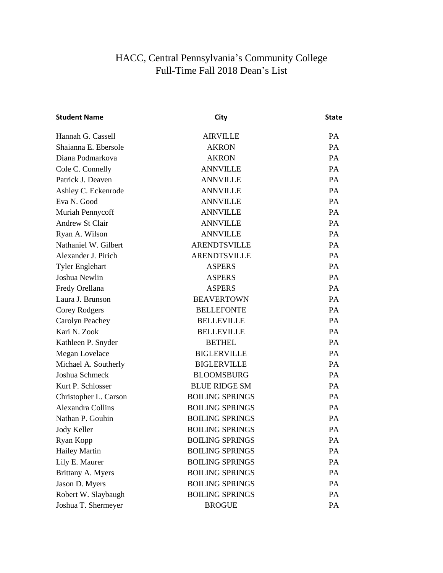## HACC, Central Pennsylvania's Community College Full-Time Fall 2018 Dean's List

| <b>Student Name</b>    | City                   | <b>State</b> |
|------------------------|------------------------|--------------|
| Hannah G. Cassell      | <b>AIRVILLE</b>        | <b>PA</b>    |
| Shaianna E. Ebersole   | <b>AKRON</b>           | <b>PA</b>    |
| Diana Podmarkova       | <b>AKRON</b>           | <b>PA</b>    |
| Cole C. Connelly       | <b>ANNVILLE</b>        | PA           |
| Patrick J. Deaven      | <b>ANNVILLE</b>        | <b>PA</b>    |
| Ashley C. Eckenrode    | <b>ANNVILLE</b>        | PA           |
| Eva N. Good            | <b>ANNVILLE</b>        | PA           |
| Muriah Pennycoff       | <b>ANNVILLE</b>        | <b>PA</b>    |
| <b>Andrew St Clair</b> | <b>ANNVILLE</b>        | <b>PA</b>    |
| Ryan A. Wilson         | <b>ANNVILLE</b>        | PA           |
| Nathaniel W. Gilbert   | <b>ARENDTSVILLE</b>    | PA           |
| Alexander J. Pirich    | <b>ARENDTSVILLE</b>    | <b>PA</b>    |
| <b>Tyler Englehart</b> | <b>ASPERS</b>          | <b>PA</b>    |
| Joshua Newlin          | <b>ASPERS</b>          | PA           |
| Fredy Orellana         | <b>ASPERS</b>          | PA           |
| Laura J. Brunson       | <b>BEAVERTOWN</b>      | <b>PA</b>    |
| Corey Rodgers          | <b>BELLEFONTE</b>      | <b>PA</b>    |
| Carolyn Peachey        | <b>BELLEVILLE</b>      | <b>PA</b>    |
| Kari N. Zook           | <b>BELLEVILLE</b>      | PA           |
| Kathleen P. Snyder     | <b>BETHEL</b>          | <b>PA</b>    |
| Megan Lovelace         | <b>BIGLERVILLE</b>     | <b>PA</b>    |
| Michael A. Southerly   | <b>BIGLERVILLE</b>     | <b>PA</b>    |
| Joshua Schmeck         | <b>BLOOMSBURG</b>      | PA           |
| Kurt P. Schlosser      | <b>BLUE RIDGE SM</b>   | <b>PA</b>    |
| Christopher L. Carson  | <b>BOILING SPRINGS</b> | <b>PA</b>    |
| Alexandra Collins      | <b>BOILING SPRINGS</b> | <b>PA</b>    |
| Nathan P. Gouhin       | <b>BOILING SPRINGS</b> | PA           |
| Jody Keller            | <b>BOILING SPRINGS</b> | <b>PA</b>    |
| Ryan Kopp              | <b>BOILING SPRINGS</b> | PA           |
| <b>Hailey Martin</b>   | <b>BOILING SPRINGS</b> | PA           |
| Lily E. Maurer         | <b>BOILING SPRINGS</b> | PA           |
| Brittany A. Myers      | <b>BOILING SPRINGS</b> | PA           |
| Jason D. Myers         | <b>BOILING SPRINGS</b> | PA           |
| Robert W. Slaybaugh    | <b>BOILING SPRINGS</b> | PA           |
| Joshua T. Shermeyer    | <b>BROGUE</b>          | PA           |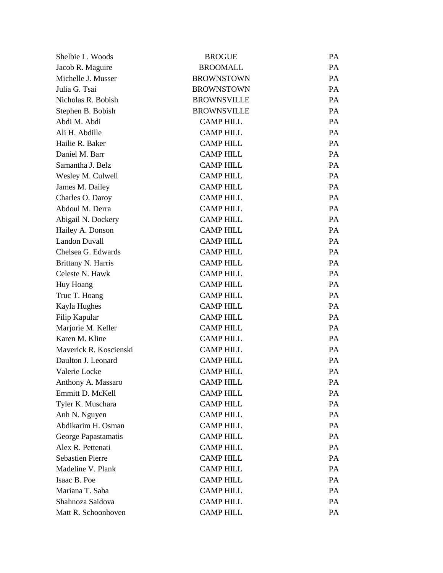| Shelbie L. Woods        | <b>BROGUE</b>      | <b>PA</b> |
|-------------------------|--------------------|-----------|
| Jacob R. Maguire        | <b>BROOMALL</b>    | PA        |
| Michelle J. Musser      | <b>BROWNSTOWN</b>  | PA        |
| Julia G. Tsai           | <b>BROWNSTOWN</b>  | PA        |
| Nicholas R. Bobish      | <b>BROWNSVILLE</b> | <b>PA</b> |
| Stephen B. Bobish       | <b>BROWNSVILLE</b> | PA        |
| Abdi M. Abdi            | <b>CAMP HILL</b>   | PA        |
| Ali H. Abdille          | <b>CAMP HILL</b>   | PA        |
| Hailie R. Baker         | <b>CAMP HILL</b>   | <b>PA</b> |
| Daniel M. Barr          | <b>CAMP HILL</b>   | PA        |
| Samantha J. Belz        | <b>CAMP HILL</b>   | PA        |
| Wesley M. Culwell       | <b>CAMP HILL</b>   | PA        |
| James M. Dailey         | <b>CAMP HILL</b>   | <b>PA</b> |
| Charles O. Daroy        | <b>CAMP HILL</b>   | PA        |
| Abdoul M. Derra         | <b>CAMP HILL</b>   | PA        |
| Abigail N. Dockery      | <b>CAMP HILL</b>   | PA        |
| Hailey A. Donson        | <b>CAMP HILL</b>   | <b>PA</b> |
| <b>Landon Duvall</b>    | <b>CAMP HILL</b>   | PA        |
| Chelsea G. Edwards      | <b>CAMP HILL</b>   | PA        |
| Brittany N. Harris      | <b>CAMP HILL</b>   | PA        |
| Celeste N. Hawk         | <b>CAMP HILL</b>   | <b>PA</b> |
| Huy Hoang               | <b>CAMP HILL</b>   | PA        |
| Truc T. Hoang           | <b>CAMP HILL</b>   | PA        |
| Kayla Hughes            | <b>CAMP HILL</b>   | PA        |
| Filip Kapular           | <b>CAMP HILL</b>   | <b>PA</b> |
| Marjorie M. Keller      | <b>CAMP HILL</b>   | PA        |
| Karen M. Kline          | <b>CAMP HILL</b>   | PA        |
| Maverick R. Koscienski  | <b>CAMP HILL</b>   | <b>PA</b> |
| Daulton J. Leonard      | <b>CAMP HILL</b>   | PA        |
| Valerie Locke           | <b>CAMP HILL</b>   | PA        |
| Anthony A. Massaro      | <b>CAMP HILL</b>   | PA        |
| Emmitt D. McKell        | <b>CAMP HILL</b>   | PA        |
| Tyler K. Muschara       | <b>CAMP HILL</b>   | PA        |
| Anh N. Nguyen           | <b>CAMP HILL</b>   | PA        |
| Abdikarim H. Osman      | <b>CAMP HILL</b>   | PA        |
| George Papastamatis     | <b>CAMP HILL</b>   | PA        |
| Alex R. Pettenati       | <b>CAMP HILL</b>   | PA        |
| <b>Sebastien Pierre</b> | <b>CAMP HILL</b>   | PA        |
| Madeline V. Plank       | <b>CAMP HILL</b>   | PA        |
| Isaac B. Poe            | <b>CAMP HILL</b>   | PA        |
| Mariana T. Saba         | <b>CAMP HILL</b>   | PA        |
| Shahnoza Saidova        | <b>CAMP HILL</b>   | PA        |
| Matt R. Schoonhoven     | <b>CAMP HILL</b>   | PA        |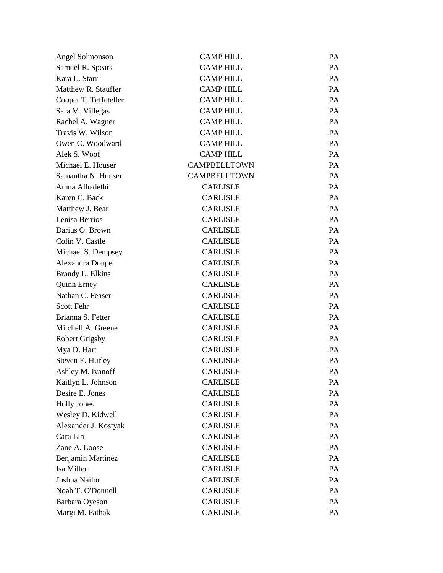| Angel Solmonson       | <b>CAMP HILL</b>    | PA |
|-----------------------|---------------------|----|
| Samuel R. Spears      | <b>CAMP HILL</b>    | PA |
| Kara L. Starr         | <b>CAMP HILL</b>    | PA |
| Matthew R. Stauffer   | <b>CAMP HILL</b>    | PA |
| Cooper T. Teffeteller | <b>CAMP HILL</b>    | PA |
| Sara M. Villegas      | <b>CAMP HILL</b>    | PA |
| Rachel A. Wagner      | <b>CAMP HILL</b>    | PA |
| Travis W. Wilson      | <b>CAMP HILL</b>    | PA |
| Owen C. Woodward      | <b>CAMP HILL</b>    | PA |
| Alek S. Woof          | <b>CAMP HILL</b>    | PA |
| Michael E. Houser     | <b>CAMPBELLTOWN</b> | PA |
| Samantha N. Houser    | <b>CAMPBELLTOWN</b> | PA |
| Amna Alhadethi        | <b>CARLISLE</b>     | PA |
| Karen C. Back         | <b>CARLISLE</b>     | PA |
| Matthew J. Bear       | <b>CARLISLE</b>     | PA |
| Lenisa Berrios        | <b>CARLISLE</b>     | PA |
| Darius O. Brown       | <b>CARLISLE</b>     | PA |
| Colin V. Castle       | <b>CARLISLE</b>     | PA |
| Michael S. Dempsey    | <b>CARLISLE</b>     | PA |
| Alexandra Doupe       | <b>CARLISLE</b>     | PA |
| Brandy L. Elkins      | <b>CARLISLE</b>     | PA |
| <b>Quinn Erney</b>    | <b>CARLISLE</b>     | PA |
| Nathan C. Feaser      | <b>CARLISLE</b>     | PA |
| Scott Fehr            | <b>CARLISLE</b>     | PA |
| Brianna S. Fetter     | <b>CARLISLE</b>     | PA |
| Mitchell A. Greene    | <b>CARLISLE</b>     | PA |
| <b>Robert Grigsby</b> | <b>CARLISLE</b>     | PA |
| Mya D. Hart           | <b>CARLISLE</b>     | PA |
| Steven E. Hurley      | <b>CARLISLE</b>     | PA |
| Ashley M. Ivanoff     | <b>CARLISLE</b>     | PA |
| Kaitlyn L. Johnson    | <b>CARLISLE</b>     | PA |
| Desire E. Jones       | <b>CARLISLE</b>     | PA |
| <b>Holly Jones</b>    | <b>CARLISLE</b>     | PA |
| Wesley D. Kidwell     | <b>CARLISLE</b>     | PA |
| Alexander J. Kostyak  | <b>CARLISLE</b>     | PA |
| Cara Lin              | <b>CARLISLE</b>     | PA |
| Zane A. Loose         | <b>CARLISLE</b>     | PA |
| Benjamin Martinez     | <b>CARLISLE</b>     | PA |
| Isa Miller            | <b>CARLISLE</b>     | PA |
| Joshua Nailor         | <b>CARLISLE</b>     | PA |
| Noah T. O'Donnell     | <b>CARLISLE</b>     | PA |
| Barbara Oyeson        | <b>CARLISLE</b>     | PA |
| Margi M. Pathak       | <b>CARLISLE</b>     | PA |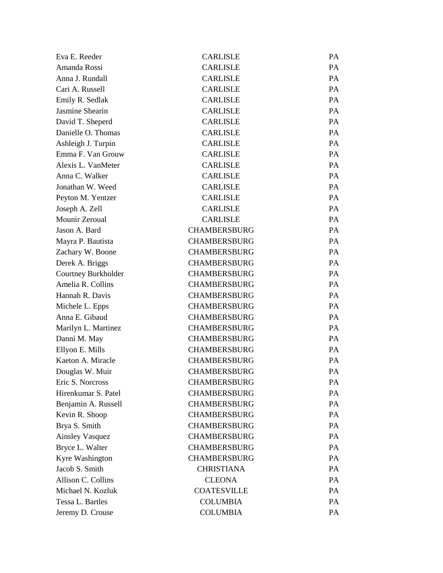| Eva E. Reeder          | <b>CARLISLE</b>     | <b>PA</b> |
|------------------------|---------------------|-----------|
| Amanda Rossi           | <b>CARLISLE</b>     | PA        |
| Anna J. Rundall        | <b>CARLISLE</b>     | PA        |
| Cari A. Russell        | <b>CARLISLE</b>     | PA        |
| Emily R. Sedlak        | <b>CARLISLE</b>     | <b>PA</b> |
| Jasmine Shearin        | <b>CARLISLE</b>     | PA        |
| David T. Sheperd       | <b>CARLISLE</b>     | PA        |
| Danielle O. Thomas     | <b>CARLISLE</b>     | PA        |
| Ashleigh J. Turpin     | <b>CARLISLE</b>     | <b>PA</b> |
| Emma F. Van Grouw      | <b>CARLISLE</b>     | PA        |
| Alexis L. VanMeter     | <b>CARLISLE</b>     | PA        |
| Anna C. Walker         | <b>CARLISLE</b>     | PA        |
| Jonathan W. Weed       | <b>CARLISLE</b>     | <b>PA</b> |
| Peyton M. Yentzer      | <b>CARLISLE</b>     | PA        |
| Joseph A. Zell         | <b>CARLISLE</b>     | PA        |
| Mounir Zeroual         | <b>CARLISLE</b>     | PA        |
| Jason A. Bard          | <b>CHAMBERSBURG</b> | PA        |
| Mayra P. Bautista      | <b>CHAMBERSBURG</b> | PA        |
| Zachary W. Boone       | <b>CHAMBERSBURG</b> | PA        |
| Derek A. Briggs        | <b>CHAMBERSBURG</b> | PA        |
| Courtney Burkholder    | <b>CHAMBERSBURG</b> | PA        |
| Amelia R. Collins      | <b>CHAMBERSBURG</b> | PA        |
| Hannah R. Davis        | <b>CHAMBERSBURG</b> | PA        |
| Michele L. Epps        | <b>CHAMBERSBURG</b> | PA        |
| Anna E. Gibaud         | <b>CHAMBERSBURG</b> | PA        |
| Marilyn L. Martinez    | <b>CHAMBERSBURG</b> | PA        |
| Danni M. May           | <b>CHAMBERSBURG</b> | PA        |
| Ellyon E. Mills        | <b>CHAMBERSBURG</b> | PA        |
| Kaeton A. Miracle      | <b>CHAMBERSBURG</b> | PA        |
| Douglas W. Muir        | <b>CHAMBERSBURG</b> | PA        |
| Eric S. Norcross       | <b>CHAMBERSBURG</b> | PA        |
| Hirenkumar S. Patel    | <b>CHAMBERSBURG</b> | PA        |
| Benjamin A. Russell    | <b>CHAMBERSBURG</b> | PA        |
| Kevin R. Shoop         | <b>CHAMBERSBURG</b> | PA        |
| Brya S. Smith          | <b>CHAMBERSBURG</b> | PA        |
| <b>Ainsley Vasquez</b> | <b>CHAMBERSBURG</b> | PA        |
| Bryce L. Walter        | <b>CHAMBERSBURG</b> | PA        |
| Kyre Washington        | <b>CHAMBERSBURG</b> | PA        |
| Jacob S. Smith         | <b>CHRISTIANA</b>   | PA        |
| Allison C. Collins     | <b>CLEONA</b>       | PA        |
| Michael N. Kozluk      | <b>COATESVILLE</b>  | PA        |
| Tessa L. Bartles       | <b>COLUMBIA</b>     | PA        |
| Jeremy D. Crouse       | <b>COLUMBIA</b>     | PA        |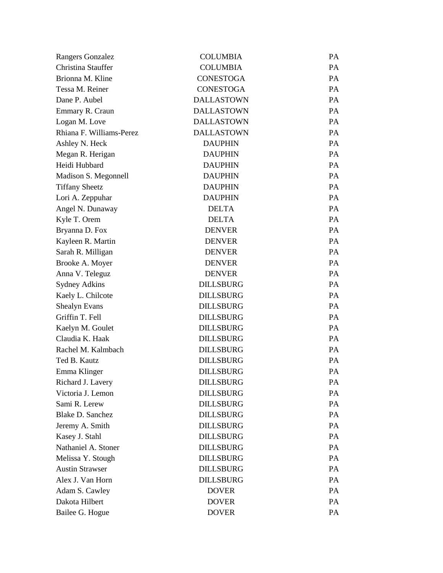| Rangers Gonzalez         | <b>COLUMBIA</b>   | PA        |
|--------------------------|-------------------|-----------|
| Christina Stauffer       | <b>COLUMBIA</b>   | <b>PA</b> |
| Brionna M. Kline         | <b>CONESTOGA</b>  | PA        |
| Tessa M. Reiner          | <b>CONESTOGA</b>  | <b>PA</b> |
| Dane P. Aubel            | <b>DALLASTOWN</b> | <b>PA</b> |
| Emmary R. Craun          | <b>DALLASTOWN</b> | <b>PA</b> |
| Logan M. Love            | <b>DALLASTOWN</b> | PA        |
| Rhiana F. Williams-Perez | <b>DALLASTOWN</b> | <b>PA</b> |
| Ashley N. Heck           | <b>DAUPHIN</b>    | PA        |
| Megan R. Herigan         | <b>DAUPHIN</b>    | <b>PA</b> |
| Heidi Hubbard            | <b>DAUPHIN</b>    | PA        |
| Madison S. Megonnell     | <b>DAUPHIN</b>    | <b>PA</b> |
| <b>Tiffany Sheetz</b>    | <b>DAUPHIN</b>    | PA        |
| Lori A. Zeppuhar         | <b>DAUPHIN</b>    | <b>PA</b> |
| Angel N. Dunaway         | <b>DELTA</b>      | PA        |
| Kyle T. Orem             | <b>DELTA</b>      | <b>PA</b> |
| Bryanna D. Fox           | <b>DENVER</b>     | PA        |
| Kayleen R. Martin        | <b>DENVER</b>     | <b>PA</b> |
| Sarah R. Milligan        | <b>DENVER</b>     | PA        |
| Brooke A. Moyer          | <b>DENVER</b>     | <b>PA</b> |
| Anna V. Teleguz          | <b>DENVER</b>     | PA        |
| <b>Sydney Adkins</b>     | <b>DILLSBURG</b>  | <b>PA</b> |
| Kaely L. Chilcote        | <b>DILLSBURG</b>  | PA        |
| <b>Shealyn Evans</b>     | <b>DILLSBURG</b>  | <b>PA</b> |
| Griffin T. Fell          | <b>DILLSBURG</b>  | PA        |
| Kaelyn M. Goulet         | <b>DILLSBURG</b>  | <b>PA</b> |
| Claudia K. Haak          | <b>DILLSBURG</b>  | PA        |
| Rachel M. Kalmbach       | <b>DILLSBURG</b>  | <b>PA</b> |
| Ted B. Kautz             | <b>DILLSBURG</b>  | PA        |
| Emma Klinger             | <b>DILLSBURG</b>  | PA        |
| Richard J. Lavery        | <b>DILLSBURG</b>  | PA        |
| Victoria J. Lemon        | <b>DILLSBURG</b>  | PA        |
| Sami R. Lerew            | <b>DILLSBURG</b>  | PA        |
| <b>Blake D. Sanchez</b>  | <b>DILLSBURG</b>  | PA        |
| Jeremy A. Smith          | <b>DILLSBURG</b>  | PA        |
| Kasey J. Stahl           | <b>DILLSBURG</b>  | PA        |
| Nathaniel A. Stoner      | <b>DILLSBURG</b>  | PA        |
| Melissa Y. Stough        | <b>DILLSBURG</b>  | PA        |
| <b>Austin Strawser</b>   | <b>DILLSBURG</b>  | PA        |
| Alex J. Van Horn         | <b>DILLSBURG</b>  | PA        |
| Adam S. Cawley           | <b>DOVER</b>      | PA        |
| Dakota Hilbert           | <b>DOVER</b>      | PA        |
| Bailee G. Hogue          | <b>DOVER</b>      | PA        |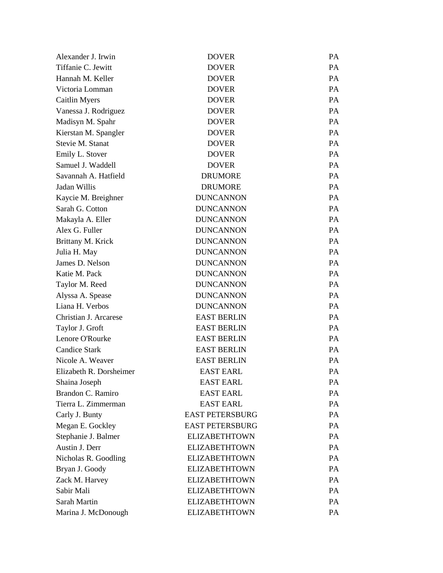| Alexander J. Irwin      | <b>DOVER</b>           | <b>PA</b> |
|-------------------------|------------------------|-----------|
| Tiffanie C. Jewitt      | <b>DOVER</b>           | PA        |
| Hannah M. Keller        | <b>DOVER</b>           | PA        |
| Victoria Lomman         | <b>DOVER</b>           | PA        |
| Caitlin Myers           | <b>DOVER</b>           | PA.       |
| Vanessa J. Rodriguez    | <b>DOVER</b>           | PA        |
| Madisyn M. Spahr        | <b>DOVER</b>           | PA        |
| Kierstan M. Spangler    | <b>DOVER</b>           | PA        |
| Stevie M. Stanat        | <b>DOVER</b>           | PA        |
| Emily L. Stover         | <b>DOVER</b>           | PA        |
| Samuel J. Waddell       | <b>DOVER</b>           | PA        |
| Savannah A. Hatfield    | <b>DRUMORE</b>         | PA        |
| Jadan Willis            | <b>DRUMORE</b>         | PA.       |
| Kaycie M. Breighner     | <b>DUNCANNON</b>       | PA        |
| Sarah G. Cotton         | <b>DUNCANNON</b>       | PA        |
| Makayla A. Eller        | <b>DUNCANNON</b>       | PA        |
| Alex G. Fuller          | <b>DUNCANNON</b>       | PA.       |
| Brittany M. Krick       | <b>DUNCANNON</b>       | PA        |
| Julia H. May            | <b>DUNCANNON</b>       | PA        |
| James D. Nelson         | <b>DUNCANNON</b>       | PA        |
| Katie M. Pack           | <b>DUNCANNON</b>       | PA.       |
| Taylor M. Reed          | <b>DUNCANNON</b>       | PA        |
| Alyssa A. Spease        | <b>DUNCANNON</b>       | PA        |
| Liana H. Verbos         | <b>DUNCANNON</b>       | PA        |
| Christian J. Arcarese   | <b>EAST BERLIN</b>     | PA        |
| Taylor J. Groft         | <b>EAST BERLIN</b>     | PA        |
| Lenore O'Rourke         | <b>EAST BERLIN</b>     | PA        |
| <b>Candice Stark</b>    | <b>EAST BERLIN</b>     | PA        |
| Nicole A. Weaver        | <b>EAST BERLIN</b>     | PA        |
| Elizabeth R. Dorsheimer | <b>EAST EARL</b>       | PA        |
| Shaina Joseph           | <b>EAST EARL</b>       | PA        |
| Brandon C. Ramiro       | <b>EAST EARL</b>       | PA        |
| Tierra L. Zimmerman     | <b>EAST EARL</b>       | PA        |
| Carly J. Bunty          | <b>EAST PETERSBURG</b> | PA        |
| Megan E. Gockley        | <b>EAST PETERSBURG</b> | PA        |
| Stephanie J. Balmer     | <b>ELIZABETHTOWN</b>   | PA        |
| Austin J. Derr          | <b>ELIZABETHTOWN</b>   | PA        |
| Nicholas R. Goodling    | <b>ELIZABETHTOWN</b>   | PA        |
| Bryan J. Goody          | <b>ELIZABETHTOWN</b>   | PA        |
| Zack M. Harvey          | <b>ELIZABETHTOWN</b>   | PA        |
| Sabir Mali              | <b>ELIZABETHTOWN</b>   | PA        |
| Sarah Martin            | <b>ELIZABETHTOWN</b>   | PA        |
| Marina J. McDonough     | <b>ELIZABETHTOWN</b>   | PA        |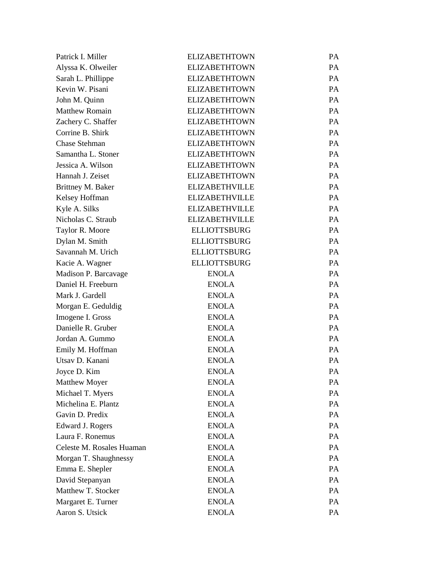| Patrick I. Miller         | <b>ELIZABETHTOWN</b>  | PA        |
|---------------------------|-----------------------|-----------|
| Alyssa K. Olweiler        | <b>ELIZABETHTOWN</b>  | PA        |
| Sarah L. Phillippe        | <b>ELIZABETHTOWN</b>  | PA        |
| Kevin W. Pisani           | <b>ELIZABETHTOWN</b>  | PA        |
| John M. Quinn             | <b>ELIZABETHTOWN</b>  | PA        |
| <b>Matthew Romain</b>     | <b>ELIZABETHTOWN</b>  | PA        |
| Zachery C. Shaffer        | <b>ELIZABETHTOWN</b>  | <b>PA</b> |
| Corrine B. Shirk          | <b>ELIZABETHTOWN</b>  | PA        |
| <b>Chase Stehman</b>      | <b>ELIZABETHTOWN</b>  | PA        |
| Samantha L. Stoner        | <b>ELIZABETHTOWN</b>  | PA        |
| Jessica A. Wilson         | <b>ELIZABETHTOWN</b>  | PA        |
| Hannah J. Zeiset          | <b>ELIZABETHTOWN</b>  | PA        |
| Brittney M. Baker         | <b>ELIZABETHVILLE</b> | PA        |
| Kelsey Hoffman            | <b>ELIZABETHVILLE</b> | PA        |
| Kyle A. Silks             | <b>ELIZABETHVILLE</b> | PA        |
| Nicholas C. Straub        | <b>ELIZABETHVILLE</b> | PA        |
| Taylor R. Moore           | <b>ELLIOTTSBURG</b>   | PA        |
| Dylan M. Smith            | <b>ELLIOTTSBURG</b>   | PA        |
| Savannah M. Urich         | <b>ELLIOTTSBURG</b>   | PA        |
| Kacie A. Wagner           | <b>ELLIOTTSBURG</b>   | PA        |
| Madison P. Barcavage      | <b>ENOLA</b>          | PA        |
| Daniel H. Freeburn        | <b>ENOLA</b>          | PA        |
| Mark J. Gardell           | <b>ENOLA</b>          | PA        |
| Morgan E. Geduldig        | <b>ENOLA</b>          | PA        |
| Imogene I. Gross          | <b>ENOLA</b>          | PA        |
| Danielle R. Gruber        | <b>ENOLA</b>          | PA        |
| Jordan A. Gummo           | <b>ENOLA</b>          | PA        |
| Emily M. Hoffman          | <b>ENOLA</b>          | PA        |
| Utsav D. Kanani           | <b>ENOLA</b>          | PA        |
| Joyce D. Kim              | <b>ENOLA</b>          | PA        |
| <b>Matthew Moyer</b>      | <b>ENOLA</b>          | PA        |
| Michael T. Myers          | <b>ENOLA</b>          | PA        |
| Michelina E. Plantz       | <b>ENOLA</b>          | PA        |
| Gavin D. Predix           | <b>ENOLA</b>          | PA        |
| Edward J. Rogers          | <b>ENOLA</b>          | PA        |
| Laura F. Ronemus          | <b>ENOLA</b>          | PA        |
| Celeste M. Rosales Huaman | <b>ENOLA</b>          | PA        |
| Morgan T. Shaughnessy     | <b>ENOLA</b>          | PA        |
| Emma E. Shepler           | <b>ENOLA</b>          | PA        |
| David Stepanyan           | <b>ENOLA</b>          | PA        |
| Matthew T. Stocker        | <b>ENOLA</b>          | PA        |
| Margaret E. Turner        | <b>ENOLA</b>          | PA        |
| Aaron S. Utsick           | <b>ENOLA</b>          | PA        |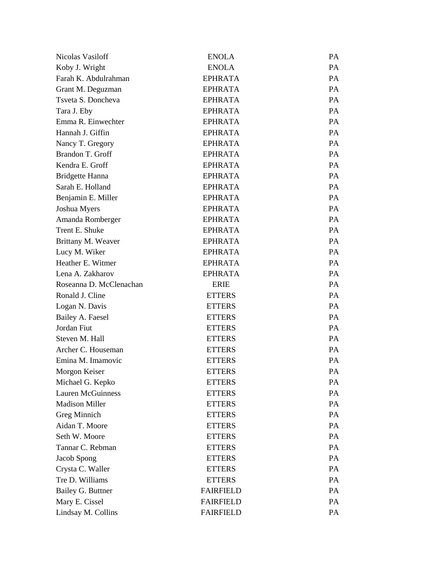| Nicolas Vasiloff         | <b>ENOLA</b>     | PA        |
|--------------------------|------------------|-----------|
| Koby J. Wright           | <b>ENOLA</b>     | PA        |
| Farah K. Abdulrahman     | <b>EPHRATA</b>   | PA        |
| Grant M. Deguzman        | <b>EPHRATA</b>   | PA        |
| Tsveta S. Doncheva       | <b>EPHRATA</b>   | PA        |
| Tara J. Eby              | <b>EPHRATA</b>   | PA        |
| Emma R. Einwechter       | <b>EPHRATA</b>   | PA        |
| Hannah J. Giffin         | <b>EPHRATA</b>   | <b>PA</b> |
| Nancy T. Gregory         | <b>EPHRATA</b>   | PA        |
| Brandon T. Groff         | <b>EPHRATA</b>   | PA        |
| Kendra E. Groff          | <b>EPHRATA</b>   | PA        |
| <b>Bridgette Hanna</b>   | <b>EPHRATA</b>   | <b>PA</b> |
| Sarah E. Holland         | <b>EPHRATA</b>   | PA        |
| Benjamin E. Miller       | <b>EPHRATA</b>   | <b>PA</b> |
| Joshua Myers             | <b>EPHRATA</b>   | PA        |
| Amanda Romberger         | <b>EPHRATA</b>   | <b>PA</b> |
| Trent E. Shuke           | <b>EPHRATA</b>   | PA        |
| Brittany M. Weaver       | <b>EPHRATA</b>   | PA        |
| Lucy M. Wiker            | <b>EPHRATA</b>   | PA        |
| Heather E. Witmer        | <b>EPHRATA</b>   | <b>PA</b> |
| Lena A. Zakharov         | <b>EPHRATA</b>   | PA        |
| Roseanna D. McClenachan  | <b>ERIE</b>      | PA        |
| Ronald J. Cline          | <b>ETTERS</b>    | PA        |
| Logan N. Davis           | <b>ETTERS</b>    | PA        |
| Bailey A. Faesel         | <b>ETTERS</b>    | PA        |
| Jordan Fiut              | <b>ETTERS</b>    | PA        |
| Steven M. Hall           | <b>ETTERS</b>    | PA        |
| Archer C. Houseman       | <b>ETTERS</b>    | PA        |
| Emina M. Imamovic        | <b>ETTERS</b>    | PA        |
| Morgon Keiser            | <b>ETTERS</b>    | PA        |
| Michael G. Kepko         | <b>ETTERS</b>    | PA        |
| <b>Lauren McGuinness</b> | <b>ETTERS</b>    | PA        |
| <b>Madison Miller</b>    | <b>ETTERS</b>    | PA        |
| Greg Minnich             | <b>ETTERS</b>    | PA        |
| Aidan T. Moore           | <b>ETTERS</b>    | PA        |
| Seth W. Moore            | <b>ETTERS</b>    | PA        |
| Tannar C. Rebman         | <b>ETTERS</b>    | PA        |
| Jacob Spong              | <b>ETTERS</b>    | PA        |
| Crysta C. Waller         | <b>ETTERS</b>    | PA        |
| Tre D. Williams          | <b>ETTERS</b>    | PA        |
| Bailey G. Buttner        | <b>FAIRFIELD</b> | PA        |
| Mary E. Cissel           | <b>FAIRFIELD</b> | PA        |
| Lindsay M. Collins       | <b>FAIRFIELD</b> | PA        |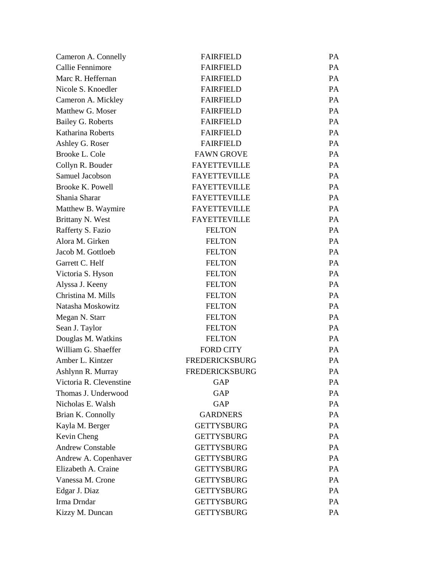| Cameron A. Connelly     | <b>FAIRFIELD</b>      | PA |
|-------------------------|-----------------------|----|
| Callie Fennimore        | <b>FAIRFIELD</b>      | PA |
| Marc R. Heffernan       | <b>FAIRFIELD</b>      | PA |
| Nicole S. Knoedler      | <b>FAIRFIELD</b>      | PA |
| Cameron A. Mickley      | <b>FAIRFIELD</b>      | PA |
| Matthew G. Moser        | <b>FAIRFIELD</b>      | PA |
| Bailey G. Roberts       | <b>FAIRFIELD</b>      | PA |
| Katharina Roberts       | <b>FAIRFIELD</b>      | PA |
| Ashley G. Roser         | <b>FAIRFIELD</b>      | PA |
| Brooke L. Cole          | <b>FAWN GROVE</b>     | PA |
| Collyn R. Bouder        | <b>FAYETTEVILLE</b>   | PA |
| Samuel Jacobson         | <b>FAYETTEVILLE</b>   | PA |
| Brooke K. Powell        | <b>FAYETTEVILLE</b>   | PA |
| Shania Sharar           | <b>FAYETTEVILLE</b>   | PA |
| Matthew B. Waymire      | <b>FAYETTEVILLE</b>   | PA |
| Brittany N. West        | <b>FAYETTEVILLE</b>   | PA |
| Rafferty S. Fazio       | <b>FELTON</b>         | PA |
| Alora M. Girken         | <b>FELTON</b>         | PA |
| Jacob M. Gottloeb       | <b>FELTON</b>         | PA |
| Garrett C. Helf         | <b>FELTON</b>         | PA |
| Victoria S. Hyson       | <b>FELTON</b>         | PA |
| Alyssa J. Keeny         | <b>FELTON</b>         | PA |
| Christina M. Mills      | <b>FELTON</b>         | PA |
| Natasha Moskowitz       | <b>FELTON</b>         | PA |
| Megan N. Starr          | <b>FELTON</b>         | PA |
| Sean J. Taylor          | <b>FELTON</b>         | PA |
| Douglas M. Watkins      | <b>FELTON</b>         | PA |
| William G. Shaeffer     | <b>FORD CITY</b>      | PA |
| Amber L. Kintzer        | <b>FREDERICKSBURG</b> | PA |
| Ashlynn R. Murray       | <b>FREDERICKSBURG</b> | PA |
| Victoria R. Clevenstine | GAP                   | PA |
| Thomas J. Underwood     | <b>GAP</b>            | PA |
| Nicholas E. Walsh       | GAP                   | PA |
| Brian K. Connolly       | <b>GARDNERS</b>       | PA |
| Kayla M. Berger         | <b>GETTYSBURG</b>     | PA |
| Kevin Cheng             | <b>GETTYSBURG</b>     | PA |
| <b>Andrew Constable</b> | <b>GETTYSBURG</b>     | PA |
| Andrew A. Copenhaver    | <b>GETTYSBURG</b>     | PA |
| Elizabeth A. Craine     | <b>GETTYSBURG</b>     | PA |
| Vanessa M. Crone        | <b>GETTYSBURG</b>     | PA |
| Edgar J. Diaz           | <b>GETTYSBURG</b>     | PA |
| Irma Drndar             | <b>GETTYSBURG</b>     | PA |
| Kizzy M. Duncan         | <b>GETTYSBURG</b>     | PA |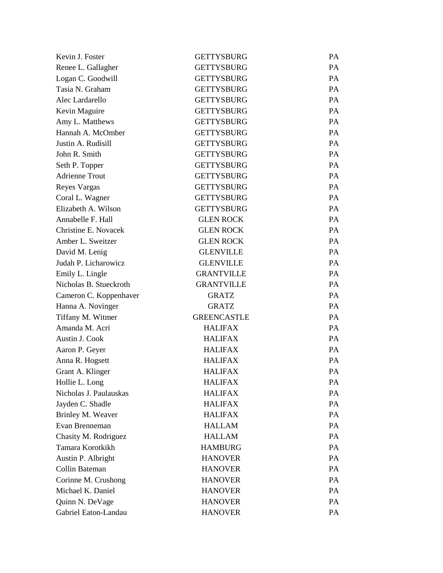| Kevin J. Foster        | <b>GETTYSBURG</b>  | <b>PA</b> |
|------------------------|--------------------|-----------|
| Renee L. Gallagher     | <b>GETTYSBURG</b>  | PA        |
| Logan C. Goodwill      | <b>GETTYSBURG</b>  | PA        |
| Tasia N. Graham        | <b>GETTYSBURG</b>  | PA        |
| Alec Lardarello        | <b>GETTYSBURG</b>  | <b>PA</b> |
| Kevin Maguire          | <b>GETTYSBURG</b>  | PA        |
| Amy L. Matthews        | <b>GETTYSBURG</b>  | PA        |
| Hannah A. McOmber      | <b>GETTYSBURG</b>  | PA        |
| Justin A. Rudisill     | <b>GETTYSBURG</b>  | <b>PA</b> |
| John R. Smith          | <b>GETTYSBURG</b>  | PA        |
| Seth P. Topper         | <b>GETTYSBURG</b>  | PA        |
| <b>Adrienne Trout</b>  | <b>GETTYSBURG</b>  | PA        |
| Reyes Vargas           | <b>GETTYSBURG</b>  | <b>PA</b> |
| Coral L. Wagner        | <b>GETTYSBURG</b>  | PA        |
| Elizabeth A. Wilson    | <b>GETTYSBURG</b>  | PA        |
| Annabelle F. Hall      | <b>GLEN ROCK</b>   | PA        |
| Christine E. Novacek   | <b>GLEN ROCK</b>   | <b>PA</b> |
| Amber L. Sweitzer      | <b>GLEN ROCK</b>   | PA        |
| David M. Lenig         | <b>GLENVILLE</b>   | PA        |
| Judah P. Licharowicz   | <b>GLENVILLE</b>   | PA        |
| Emily L. Lingle        | <b>GRANTVILLE</b>  | <b>PA</b> |
| Nicholas B. Stueckroth | <b>GRANTVILLE</b>  | PA        |
| Cameron C. Koppenhaver | <b>GRATZ</b>       | PA        |
| Hanna A. Novinger      | <b>GRATZ</b>       | PA        |
| Tiffany M. Witmer      | <b>GREENCASTLE</b> | <b>PA</b> |
| Amanda M. Acri         | <b>HALIFAX</b>     | PA        |
| Austin J. Cook         | <b>HALIFAX</b>     | PA        |
| Aaron P. Geyer         | <b>HALIFAX</b>     | <b>PA</b> |
| Anna R. Hogsett        | <b>HALIFAX</b>     | PA        |
| Grant A. Klinger       | <b>HALIFAX</b>     | PA        |
| Hollie L. Long         | <b>HALIFAX</b>     | PA        |
| Nicholas J. Paulauskas | <b>HALIFAX</b>     | PA        |
| Jayden C. Shadle       | <b>HALIFAX</b>     | PA        |
| Brinley M. Weaver      | <b>HALIFAX</b>     | PA        |
| Evan Brenneman         | <b>HALLAM</b>      | PA        |
| Chasity M. Rodriguez   | <b>HALLAM</b>      | PA        |
| Tamara Korotkikh       | <b>HAMBURG</b>     | PA        |
| Austin P. Albright     | <b>HANOVER</b>     | PA        |
| Collin Bateman         | <b>HANOVER</b>     | PA        |
| Corinne M. Crushong    | <b>HANOVER</b>     | PA        |
| Michael K. Daniel      | <b>HANOVER</b>     | PA        |
| Quinn N. DeVage        | <b>HANOVER</b>     | PA        |
| Gabriel Eaton-Landau   | <b>HANOVER</b>     | PA        |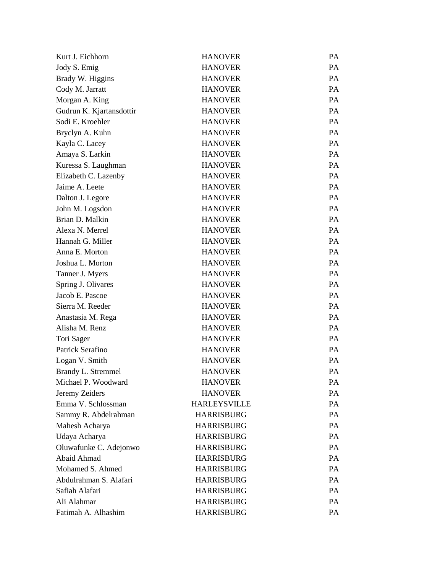| Kurt J. Eichhorn         | <b>HANOVER</b>      | PA |
|--------------------------|---------------------|----|
| Jody S. Emig             | <b>HANOVER</b>      | PA |
| Brady W. Higgins         | <b>HANOVER</b>      | PA |
| Cody M. Jarratt          | <b>HANOVER</b>      | PA |
| Morgan A. King           | <b>HANOVER</b>      | PA |
| Gudrun K. Kjartansdottir | <b>HANOVER</b>      | PA |
| Sodi E. Kroehler         | <b>HANOVER</b>      | PA |
| Bryclyn A. Kuhn          | <b>HANOVER</b>      | PA |
| Kayla C. Lacey           | <b>HANOVER</b>      | PA |
| Amaya S. Larkin          | <b>HANOVER</b>      | PA |
| Kuressa S. Laughman      | <b>HANOVER</b>      | PA |
| Elizabeth C. Lazenby     | <b>HANOVER</b>      | PA |
| Jaime A. Leete           | <b>HANOVER</b>      | PA |
| Dalton J. Legore         | <b>HANOVER</b>      | PA |
| John M. Logsdon          | <b>HANOVER</b>      | PA |
| Brian D. Malkin          | <b>HANOVER</b>      | PA |
| Alexa N. Merrel          | <b>HANOVER</b>      | PA |
| Hannah G. Miller         | <b>HANOVER</b>      | PA |
| Anna E. Morton           | <b>HANOVER</b>      | PA |
| Joshua L. Morton         | <b>HANOVER</b>      | PA |
| Tanner J. Myers          | <b>HANOVER</b>      | PA |
| Spring J. Olivares       | <b>HANOVER</b>      | PA |
| Jacob E. Pascoe          | <b>HANOVER</b>      | PA |
| Sierra M. Reeder         | <b>HANOVER</b>      | PA |
| Anastasia M. Rega        | <b>HANOVER</b>      | PA |
| Alisha M. Renz           | <b>HANOVER</b>      | PA |
| Tori Sager               | <b>HANOVER</b>      | PA |
| Patrick Serafino         | <b>HANOVER</b>      | PA |
| Logan V. Smith           | <b>HANOVER</b>      | PA |
| Brandy L. Stremmel       | <b>HANOVER</b>      | PA |
| Michael P. Woodward      | <b>HANOVER</b>      | PA |
| Jeremy Zeiders           | <b>HANOVER</b>      | PA |
| Emma V. Schlossman       | <b>HARLEYSVILLE</b> | PA |
| Sammy R. Abdelrahman     | <b>HARRISBURG</b>   | PA |
| Mahesh Acharya           | <b>HARRISBURG</b>   | PA |
| Udaya Acharya            | <b>HARRISBURG</b>   | PA |
| Oluwafunke C. Adejonwo   | <b>HARRISBURG</b>   | PA |
| Abaid Ahmad              | <b>HARRISBURG</b>   | PA |
| Mohamed S. Ahmed         | <b>HARRISBURG</b>   | PA |
| Abdulrahman S. Alafari   | <b>HARRISBURG</b>   | PA |
| Safiah Alafari           | <b>HARRISBURG</b>   | PA |
| Ali Alahmar              | <b>HARRISBURG</b>   | PA |
| Fatimah A. Alhashim      | <b>HARRISBURG</b>   | PA |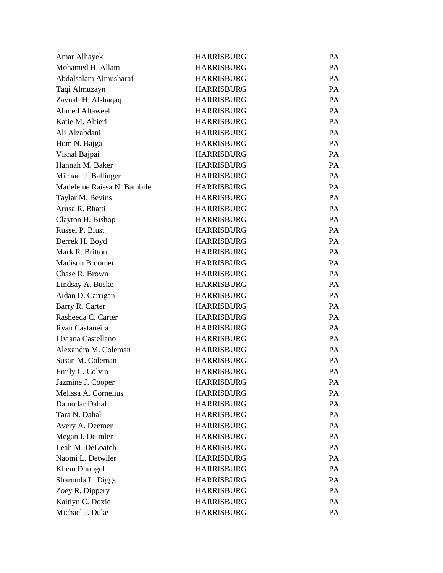| Amar Alhayek                | <b>HARRISBURG</b> | <b>PA</b> |
|-----------------------------|-------------------|-----------|
| Mohamed H. Allam            | <b>HARRISBURG</b> | <b>PA</b> |
| Abdalsalam Almusharaf       | <b>HARRISBURG</b> | <b>PA</b> |
| Taqi Almuzayn               | <b>HARRISBURG</b> | <b>PA</b> |
| Zaynab H. Alshaqaq          | <b>HARRISBURG</b> | <b>PA</b> |
| <b>Ahmed Altaweel</b>       | <b>HARRISBURG</b> | <b>PA</b> |
| Katie M. Altieri            | <b>HARRISBURG</b> | <b>PA</b> |
| Ali Alzabdani               | <b>HARRISBURG</b> | PA        |
| Hom N. Bajgai               | <b>HARRISBURG</b> | <b>PA</b> |
| Vishal Bajpai               | <b>HARRISBURG</b> | <b>PA</b> |
| Hannah M. Baker             | <b>HARRISBURG</b> | <b>PA</b> |
| Michael J. Ballinger        | <b>HARRISBURG</b> | <b>PA</b> |
| Madeleine Raissa N. Bambile | <b>HARRISBURG</b> | <b>PA</b> |
| Taylar M. Bevins            | <b>HARRISBURG</b> | <b>PA</b> |
| Arusa R. Bhatti             | <b>HARRISBURG</b> | <b>PA</b> |
| Clayton H. Bishop           | <b>HARRISBURG</b> | <b>PA</b> |
| <b>Russel P. Blust</b>      | <b>HARRISBURG</b> | <b>PA</b> |
| Derrek H. Boyd              | <b>HARRISBURG</b> | PA        |
| Mark R. Britton             | <b>HARRISBURG</b> | <b>PA</b> |
| <b>Madison Broomer</b>      | <b>HARRISBURG</b> | <b>PA</b> |
| Chase R. Brown              | <b>HARRISBURG</b> | <b>PA</b> |
| Lindsay A. Busko            | <b>HARRISBURG</b> | PA        |
| Aidan D. Carrigan           | <b>HARRISBURG</b> | <b>PA</b> |
| Barry R. Carter             | <b>HARRISBURG</b> | <b>PA</b> |
| Rasheeda C. Carter          | <b>HARRISBURG</b> | <b>PA</b> |
| Ryan Castaneira             | <b>HARRISBURG</b> | <b>PA</b> |
| Liviana Castellano          | <b>HARRISBURG</b> | PA        |
| Alexandra M. Coleman        | <b>HARRISBURG</b> | <b>PA</b> |
| Susan M. Coleman            | <b>HARRISBURG</b> | <b>PA</b> |
| Emily C. Colvin             | <b>HARRISBURG</b> | PA        |
| Jazmine J. Cooper           | <b>HARRISBURG</b> | <b>PA</b> |
| Melissa A. Cornelius        | <b>HARRISBURG</b> | <b>PA</b> |
| Damodar Dahal               | <b>HARRISBURG</b> | PA        |
| Tara N. Dahal               | <b>HARRISBURG</b> | PA        |
| Avery A. Deemer             | <b>HARRISBURG</b> | PA        |
| Megan I. Deimler            | <b>HARRISBURG</b> | PA        |
| Leah M. DeLoatch            | <b>HARRISBURG</b> | PA        |
| Naomi L. Detwiler           | <b>HARRISBURG</b> | PA        |
| Khem Dhungel                | <b>HARRISBURG</b> | PA        |
| Sharonda L. Diggs           | <b>HARRISBURG</b> | PA        |
| Zoey R. Dippery             | <b>HARRISBURG</b> | PA        |
| Kaitlyn C. Doxie            | <b>HARRISBURG</b> | PA        |
| Michael J. Duke             | <b>HARRISBURG</b> | PA        |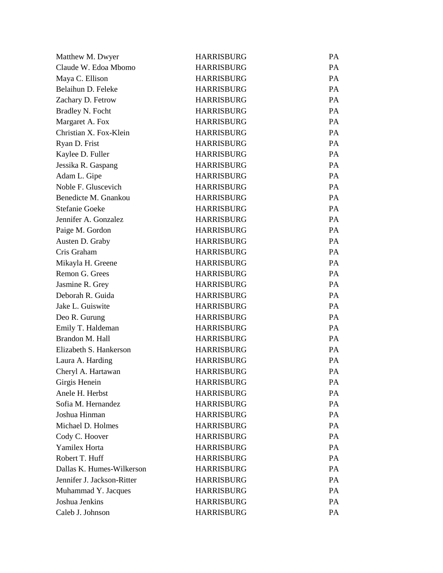| Matthew M. Dwyer           | <b>HARRISBURG</b> | PA        |
|----------------------------|-------------------|-----------|
| Claude W. Edoa Mbomo       | <b>HARRISBURG</b> | <b>PA</b> |
| Maya C. Ellison            | <b>HARRISBURG</b> | PA        |
| Belaihun D. Feleke         | <b>HARRISBURG</b> | PA        |
| Zachary D. Fetrow          | <b>HARRISBURG</b> | PA        |
| <b>Bradley N. Focht</b>    | <b>HARRISBURG</b> | PA        |
| Margaret A. Fox            | <b>HARRISBURG</b> | PA        |
| Christian X. Fox-Klein     | <b>HARRISBURG</b> | PA        |
| Ryan D. Frist              | <b>HARRISBURG</b> | PA        |
| Kaylee D. Fuller           | <b>HARRISBURG</b> | PA        |
| Jessika R. Gaspang         | <b>HARRISBURG</b> | PA        |
| Adam L. Gipe               | <b>HARRISBURG</b> | <b>PA</b> |
| Noble F. Gluscevich        | <b>HARRISBURG</b> | PA        |
| Benedicte M. Gnankou       | <b>HARRISBURG</b> | PA        |
| <b>Stefanie Goeke</b>      | <b>HARRISBURG</b> | PA        |
| Jennifer A. Gonzalez       | <b>HARRISBURG</b> | <b>PA</b> |
| Paige M. Gordon            | <b>HARRISBURG</b> | PA        |
| Austen D. Graby            | <b>HARRISBURG</b> | PA        |
| Cris Graham                | <b>HARRISBURG</b> | PA        |
| Mikayla H. Greene          | <b>HARRISBURG</b> | <b>PA</b> |
| Remon G. Grees             | <b>HARRISBURG</b> | PA        |
| Jasmine R. Grey            | <b>HARRISBURG</b> | PA        |
| Deborah R. Guida           | <b>HARRISBURG</b> | PA        |
| Jake L. Guiswite           | <b>HARRISBURG</b> | <b>PA</b> |
| Deo R. Gurung              | <b>HARRISBURG</b> | PA        |
| Emily T. Haldeman          | <b>HARRISBURG</b> | PA        |
| Brandon M. Hall            | <b>HARRISBURG</b> | PA        |
| Elizabeth S. Hankerson     | <b>HARRISBURG</b> | PA        |
| Laura A. Harding           | <b>HARRISBURG</b> | PA        |
| Cheryl A. Hartawan         | <b>HARRISBURG</b> | PA        |
| Girgis Henein              | <b>HARRISBURG</b> | <b>PA</b> |
| Anele H. Herbst            | <b>HARRISBURG</b> | PA        |
| Sofia M. Hernandez         | <b>HARRISBURG</b> | PA        |
| Joshua Hinman              | <b>HARRISBURG</b> | PA        |
| Michael D. Holmes          | <b>HARRISBURG</b> | PA        |
| Cody C. Hoover             | <b>HARRISBURG</b> | PA        |
| Yamilex Horta              | <b>HARRISBURG</b> | PA        |
| Robert T. Huff             | <b>HARRISBURG</b> | PA        |
| Dallas K. Humes-Wilkerson  | <b>HARRISBURG</b> | PA        |
| Jennifer J. Jackson-Ritter | <b>HARRISBURG</b> | PA        |
| Muhammad Y. Jacques        | <b>HARRISBURG</b> | PA        |
| Joshua Jenkins             | <b>HARRISBURG</b> | PA        |
| Caleb J. Johnson           | <b>HARRISBURG</b> | PA        |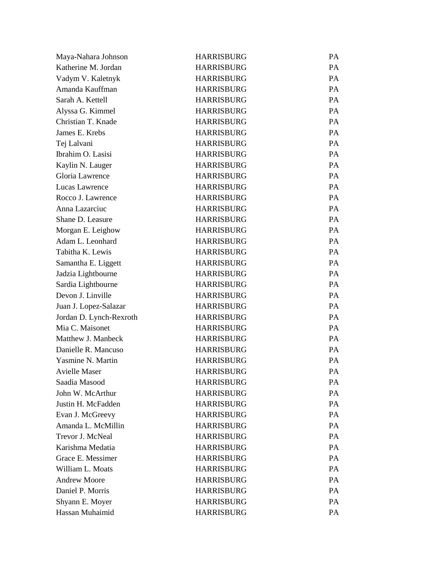| Maya-Nahara Johnson     | <b>HARRISBURG</b> | PA        |
|-------------------------|-------------------|-----------|
| Katherine M. Jordan     | <b>HARRISBURG</b> | PA        |
| Vadym V. Kaletnyk       | <b>HARRISBURG</b> | PA        |
| Amanda Kauffman         | <b>HARRISBURG</b> | PA        |
| Sarah A. Kettell        | <b>HARRISBURG</b> | <b>PA</b> |
| Alyssa G. Kimmel        | <b>HARRISBURG</b> | PA        |
| Christian T. Knade      | <b>HARRISBURG</b> | PA        |
| James E. Krebs          | <b>HARRISBURG</b> | PA        |
| Tej Lalvani             | <b>HARRISBURG</b> | PA        |
| Ibrahim O. Lasisi       | <b>HARRISBURG</b> | PA        |
| Kaylin N. Lauger        | <b>HARRISBURG</b> | PA        |
| Gloria Lawrence         | <b>HARRISBURG</b> | PA        |
| Lucas Lawrence          | <b>HARRISBURG</b> | PA        |
| Rocco J. Lawrence       | <b>HARRISBURG</b> | PA        |
| Anna Lazarciuc          | <b>HARRISBURG</b> | PA        |
| Shane D. Leasure        | <b>HARRISBURG</b> | PA        |
| Morgan E. Leighow       | <b>HARRISBURG</b> | PA        |
| Adam L. Leonhard        | <b>HARRISBURG</b> | PA        |
| Tabitha K. Lewis        | <b>HARRISBURG</b> | PA        |
| Samantha E. Liggett     | <b>HARRISBURG</b> | PA        |
| Jadzia Lightbourne      | <b>HARRISBURG</b> | PA        |
| Sardia Lightbourne      | <b>HARRISBURG</b> | PA        |
| Devon J. Linville       | <b>HARRISBURG</b> | PA        |
| Juan J. Lopez-Salazar   | <b>HARRISBURG</b> | PA        |
| Jordan D. Lynch-Rexroth | <b>HARRISBURG</b> | PA        |
| Mia C. Maisonet         | <b>HARRISBURG</b> | PA        |
| Matthew J. Manbeck      | <b>HARRISBURG</b> | PA        |
| Danielle R. Mancuso     | <b>HARRISBURG</b> | PA        |
| Yasmine N. Martin       | <b>HARRISBURG</b> | PA        |
| <b>Avielle Maser</b>    | <b>HARRISBURG</b> | PA        |
| Saadia Masood           | <b>HARRISBURG</b> | PA        |
| John W. McArthur        | <b>HARRISBURG</b> | PA        |
| Justin H. McFadden      | <b>HARRISBURG</b> | PA        |
| Evan J. McGreevy        | <b>HARRISBURG</b> | PA        |
| Amanda L. McMillin      | <b>HARRISBURG</b> | PA        |
| Trevor J. McNeal        | <b>HARRISBURG</b> | PA        |
| Karishma Medatia        | <b>HARRISBURG</b> | PA        |
| Grace E. Messimer       | <b>HARRISBURG</b> | PA        |
| William L. Moats        | <b>HARRISBURG</b> | PA        |
| <b>Andrew Moore</b>     | <b>HARRISBURG</b> | PA        |
| Daniel P. Morris        | <b>HARRISBURG</b> | PA        |
| Shyann E. Moyer         | <b>HARRISBURG</b> | PA        |
| Hassan Muhaimid         | <b>HARRISBURG</b> | PA        |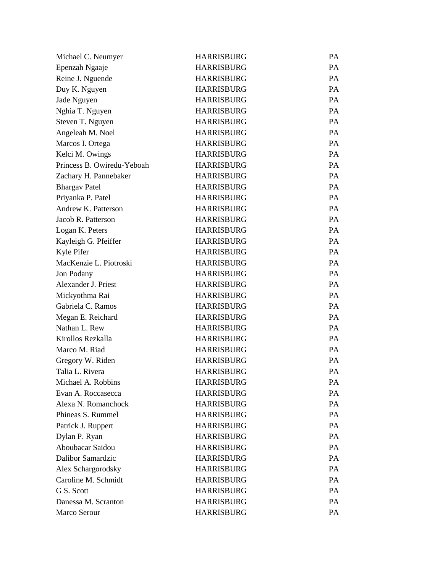| Michael C. Neumyer         | <b>HARRISBURG</b> | PA        |
|----------------------------|-------------------|-----------|
| Epenzah Ngaaje             | <b>HARRISBURG</b> | PA        |
| Reine J. Nguende           | <b>HARRISBURG</b> | PA        |
| Duy K. Nguyen              | <b>HARRISBURG</b> | PA        |
| Jade Nguyen                | <b>HARRISBURG</b> | PA        |
| Nghia T. Nguyen            | <b>HARRISBURG</b> | PA        |
| Steven T. Nguyen           | <b>HARRISBURG</b> | PA        |
| Angeleah M. Noel           | <b>HARRISBURG</b> | PA        |
| Marcos I. Ortega           | <b>HARRISBURG</b> | PA        |
| Kelci M. Owings            | <b>HARRISBURG</b> | PA        |
| Princess B. Owiredu-Yeboah | <b>HARRISBURG</b> | PA        |
| Zachary H. Pannebaker      | <b>HARRISBURG</b> | PA        |
| <b>Bhargav Patel</b>       | <b>HARRISBURG</b> | PA        |
| Priyanka P. Patel          | <b>HARRISBURG</b> | PA        |
| Andrew K. Patterson        | <b>HARRISBURG</b> | PA        |
| Jacob R. Patterson         | <b>HARRISBURG</b> | PA        |
| Logan K. Peters            | <b>HARRISBURG</b> | PA        |
| Kayleigh G. Pfeiffer       | <b>HARRISBURG</b> | PA        |
| Kyle Pifer                 | <b>HARRISBURG</b> | PA        |
| MacKenzie L. Piotroski     | <b>HARRISBURG</b> | PA        |
| Jon Podany                 | <b>HARRISBURG</b> | PA        |
| Alexander J. Priest        | <b>HARRISBURG</b> | PA        |
| Mickyothma Rai             | <b>HARRISBURG</b> | PA        |
| Gabriela C. Ramos          | <b>HARRISBURG</b> | PA        |
| Megan E. Reichard          | <b>HARRISBURG</b> | PA        |
| Nathan L. Rew              | <b>HARRISBURG</b> | PA        |
| Kirollos Rezkalla          | <b>HARRISBURG</b> | PA        |
| Marco M. Riad              | <b>HARRISBURG</b> | PA        |
| Gregory W. Riden           | <b>HARRISBURG</b> | PA        |
| Talia L. Rivera            | <b>HARRISBURG</b> | PA        |
| Michael A. Robbins         | <b>HARRISBURG</b> | <b>PA</b> |
| Evan A. Roccasecca         | <b>HARRISBURG</b> | PA        |
| Alexa N. Romanchock        | <b>HARRISBURG</b> | PA        |
| Phineas S. Rummel          | <b>HARRISBURG</b> | PA        |
| Patrick J. Ruppert         | <b>HARRISBURG</b> | PA        |
| Dylan P. Ryan              | <b>HARRISBURG</b> | PA        |
| Aboubacar Saidou           | <b>HARRISBURG</b> | PA        |
| <b>Dalibor Samardzic</b>   | <b>HARRISBURG</b> | PA        |
| Alex Schargorodsky         | <b>HARRISBURG</b> | PA        |
| Caroline M. Schmidt        | <b>HARRISBURG</b> | PA        |
| G S. Scott                 | <b>HARRISBURG</b> | PA        |
| Danessa M. Scranton        | <b>HARRISBURG</b> | PA        |
| Marco Serour               | <b>HARRISBURG</b> | PA        |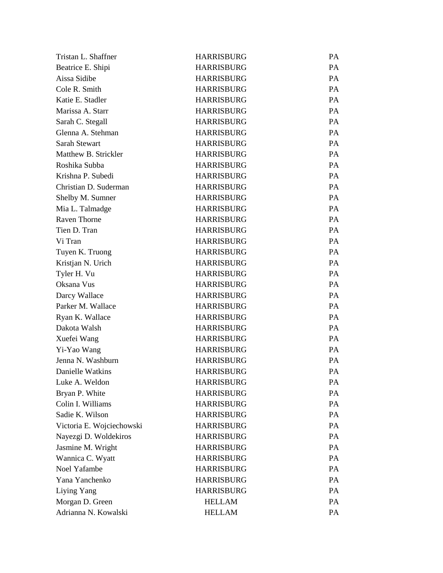| Tristan L. Shaffner       | <b>HARRISBURG</b> | PA        |
|---------------------------|-------------------|-----------|
| Beatrice E. Shipi         | <b>HARRISBURG</b> | <b>PA</b> |
| Aissa Sidibe              | <b>HARRISBURG</b> | PA        |
| Cole R. Smith             | <b>HARRISBURG</b> | <b>PA</b> |
| Katie E. Stadler          | <b>HARRISBURG</b> | PA        |
| Marissa A. Starr          | <b>HARRISBURG</b> | PA        |
| Sarah C. Stegall          | <b>HARRISBURG</b> | PA        |
| Glenna A. Stehman         | <b>HARRISBURG</b> | PA        |
| Sarah Stewart             | <b>HARRISBURG</b> | PA        |
| Matthew B. Strickler      | <b>HARRISBURG</b> | PA        |
| Roshika Subba             | <b>HARRISBURG</b> | PA        |
| Krishna P. Subedi         | <b>HARRISBURG</b> | <b>PA</b> |
| Christian D. Suderman     | <b>HARRISBURG</b> | PA        |
| Shelby M. Sumner          | <b>HARRISBURG</b> | PA        |
| Mia L. Talmadge           | <b>HARRISBURG</b> | PA        |
| <b>Raven Thorne</b>       | <b>HARRISBURG</b> | <b>PA</b> |
| Tien D. Tran              | <b>HARRISBURG</b> | PA        |
| Vi Tran                   | <b>HARRISBURG</b> | PA        |
| Tuyen K. Truong           | <b>HARRISBURG</b> | PA        |
| Kristjan N. Urich         | <b>HARRISBURG</b> | <b>PA</b> |
| Tyler H. Vu               | <b>HARRISBURG</b> | PA        |
| Oksana Vus                | <b>HARRISBURG</b> | PA        |
| Darcy Wallace             | <b>HARRISBURG</b> | PA        |
| Parker M. Wallace         | <b>HARRISBURG</b> | <b>PA</b> |
| Ryan K. Wallace           | <b>HARRISBURG</b> | PA        |
| Dakota Walsh              | <b>HARRISBURG</b> | PA        |
| Xuefei Wang               | <b>HARRISBURG</b> | PA        |
| Yi-Yao Wang               | <b>HARRISBURG</b> | PA        |
| Jenna N. Washburn         | <b>HARRISBURG</b> | PA        |
| Danielle Watkins          | <b>HARRISBURG</b> | PA        |
| Luke A. Weldon            | <b>HARRISBURG</b> | PA        |
| Bryan P. White            | <b>HARRISBURG</b> | PA        |
| Colin I. Williams         | <b>HARRISBURG</b> | PA        |
| Sadie K. Wilson           | <b>HARRISBURG</b> | PA        |
| Victoria E. Wojciechowski | <b>HARRISBURG</b> | PA        |
| Nayezgi D. Woldekiros     | <b>HARRISBURG</b> | PA        |
| Jasmine M. Wright         | <b>HARRISBURG</b> | PA        |
| Wannica C. Wyatt          | <b>HARRISBURG</b> | PA        |
| Noel Yafambe              | <b>HARRISBURG</b> | PA        |
| Yana Yanchenko            | <b>HARRISBURG</b> | PA        |
| Liying Yang               | <b>HARRISBURG</b> | PA        |
| Morgan D. Green           | <b>HELLAM</b>     | PA        |
| Adrianna N. Kowalski      | <b>HELLAM</b>     | PA        |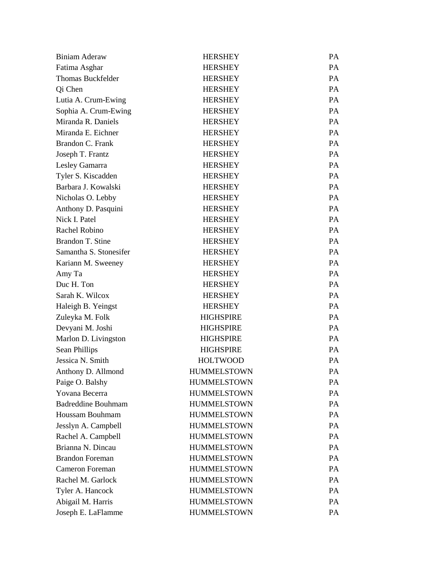| <b>Biniam Aderaw</b>      | <b>HERSHEY</b>     | PA        |
|---------------------------|--------------------|-----------|
| Fatima Asghar             | <b>HERSHEY</b>     | PA        |
| <b>Thomas Buckfelder</b>  | <b>HERSHEY</b>     | PA        |
| Qi Chen                   | <b>HERSHEY</b>     | PA        |
| Lutia A. Crum-Ewing       | <b>HERSHEY</b>     | PA        |
| Sophia A. Crum-Ewing      | <b>HERSHEY</b>     | PA        |
| Miranda R. Daniels        | <b>HERSHEY</b>     | PA        |
| Miranda E. Eichner        | <b>HERSHEY</b>     | PA        |
| Brandon C. Frank          | <b>HERSHEY</b>     | PA        |
| Joseph T. Frantz          | <b>HERSHEY</b>     | PA        |
| Lesley Gamarra            | <b>HERSHEY</b>     | PA        |
| Tyler S. Kiscadden        | <b>HERSHEY</b>     | PA        |
| Barbara J. Kowalski       | <b>HERSHEY</b>     | PA        |
| Nicholas O. Lebby         | <b>HERSHEY</b>     | PA        |
| Anthony D. Pasquini       | <b>HERSHEY</b>     | PA        |
| Nick I. Patel             | <b>HERSHEY</b>     | PA        |
| Rachel Robino             | <b>HERSHEY</b>     | PA        |
| Brandon T. Stine          | <b>HERSHEY</b>     | PA        |
| Samantha S. Stonesifer    | <b>HERSHEY</b>     | PA        |
| Kariann M. Sweeney        | <b>HERSHEY</b>     | PA        |
| Amy Ta                    | <b>HERSHEY</b>     | <b>PA</b> |
| Duc H. Ton                | <b>HERSHEY</b>     | PA        |
| Sarah K. Wilcox           | <b>HERSHEY</b>     | PA        |
| Haleigh B. Yeingst        | <b>HERSHEY</b>     | PA        |
| Zuleyka M. Folk           | <b>HIGHSPIRE</b>   | PA        |
| Devyani M. Joshi          | <b>HIGHSPIRE</b>   | PA        |
| Marlon D. Livingston      | <b>HIGHSPIRE</b>   | PA        |
| Sean Phillips             | <b>HIGHSPIRE</b>   | PA        |
| Jessica N. Smith          | <b>HOLTWOOD</b>    | PA        |
| Anthony D. Allmond        | <b>HUMMELSTOWN</b> | PA        |
| Paige O. Balshy           | <b>HUMMELSTOWN</b> | PA        |
| Yovana Becerra            | <b>HUMMELSTOWN</b> | PA        |
| <b>Badreddine Bouhmam</b> | <b>HUMMELSTOWN</b> | PA        |
| Houssam Bouhmam           | <b>HUMMELSTOWN</b> | PA        |
| Jesslyn A. Campbell       | <b>HUMMELSTOWN</b> | PA        |
| Rachel A. Campbell        | <b>HUMMELSTOWN</b> | PA        |
| Brianna N. Dincau         | <b>HUMMELSTOWN</b> | PA        |
| <b>Brandon Foreman</b>    | <b>HUMMELSTOWN</b> | PA        |
| <b>Cameron Foreman</b>    | <b>HUMMELSTOWN</b> | PA        |
| Rachel M. Garlock         | <b>HUMMELSTOWN</b> | PA        |
| Tyler A. Hancock          | <b>HUMMELSTOWN</b> | PA        |
| Abigail M. Harris         | <b>HUMMELSTOWN</b> | PA        |
| Joseph E. LaFlamme        | <b>HUMMELSTOWN</b> | PA        |
|                           |                    |           |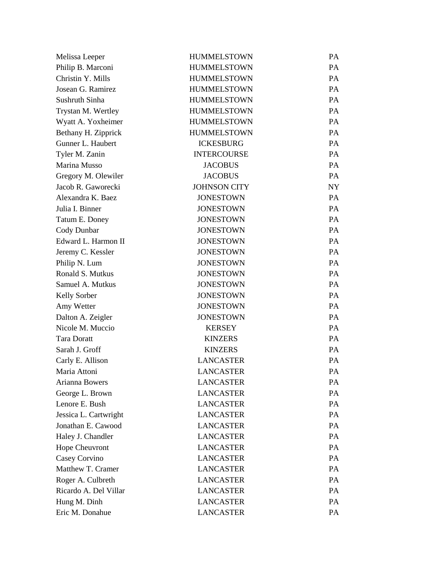| Melissa Leeper        | <b>HUMMELSTOWN</b>  | PA        |
|-----------------------|---------------------|-----------|
| Philip B. Marconi     | <b>HUMMELSTOWN</b>  | <b>PA</b> |
| Christin Y. Mills     | <b>HUMMELSTOWN</b>  | PA        |
| Josean G. Ramirez     | <b>HUMMELSTOWN</b>  | PA        |
| Sushruth Sinha        | <b>HUMMELSTOWN</b>  | PA        |
| Trystan M. Wertley    | <b>HUMMELSTOWN</b>  | PA        |
| Wyatt A. Yoxheimer    | <b>HUMMELSTOWN</b>  | PA        |
| Bethany H. Zipprick   | <b>HUMMELSTOWN</b>  | PA        |
| Gunner L. Haubert     | <b>ICKESBURG</b>    | PA        |
| Tyler M. Zanin        | <b>INTERCOURSE</b>  | PA        |
| Marina Musso          | <b>JACOBUS</b>      | PA        |
| Gregory M. Olewiler   | <b>JACOBUS</b>      | PA        |
| Jacob R. Gaworecki    | <b>JOHNSON CITY</b> | <b>NY</b> |
| Alexandra K. Baez     | <b>JONESTOWN</b>    | PA        |
| Julia I. Binner       | <b>JONESTOWN</b>    | PA        |
| Tatum E. Doney        | <b>JONESTOWN</b>    | PA        |
| Cody Dunbar           | <b>JONESTOWN</b>    | PA        |
| Edward L. Harmon II   | <b>JONESTOWN</b>    | PA        |
| Jeremy C. Kessler     | <b>JONESTOWN</b>    | PA        |
| Philip N. Lum         | <b>JONESTOWN</b>    | PA        |
| Ronald S. Mutkus      | <b>JONESTOWN</b>    | PA        |
| Samuel A. Mutkus      | <b>JONESTOWN</b>    | PA        |
| Kelly Sorber          | <b>JONESTOWN</b>    | PA        |
| Amy Wetter            | <b>JONESTOWN</b>    | PA        |
| Dalton A. Zeigler     | <b>JONESTOWN</b>    | PA        |
| Nicole M. Muccio      | <b>KERSEY</b>       | PA        |
| <b>Tara Doratt</b>    | <b>KINZERS</b>      | PA        |
| Sarah J. Groff        | <b>KINZERS</b>      | PA        |
| Carly E. Allison      | <b>LANCASTER</b>    | <b>PA</b> |
| Maria Attoni          | <b>LANCASTER</b>    | PA        |
| Arianna Bowers        | <b>LANCASTER</b>    | PA        |
| George L. Brown       | <b>LANCASTER</b>    | PA        |
| Lenore E. Bush        | <b>LANCASTER</b>    | PA        |
| Jessica L. Cartwright | <b>LANCASTER</b>    | PA        |
| Jonathan E. Cawood    | <b>LANCASTER</b>    | PA        |
| Haley J. Chandler     | <b>LANCASTER</b>    | PA        |
| Hope Cheuvront        | <b>LANCASTER</b>    | PA        |
| Casey Corvino         | <b>LANCASTER</b>    | PA        |
| Matthew T. Cramer     | <b>LANCASTER</b>    | PA        |
| Roger A. Culbreth     | <b>LANCASTER</b>    | PA        |
| Ricardo A. Del Villar | <b>LANCASTER</b>    | PA        |
| Hung M. Dinh          | <b>LANCASTER</b>    | PA        |
| Eric M. Donahue       | <b>LANCASTER</b>    | PA        |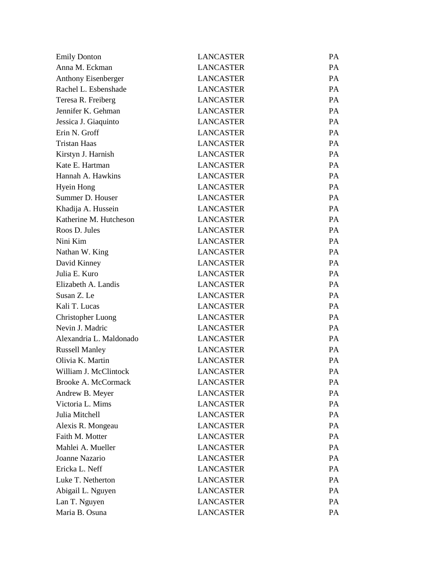| <b>Emily Donton</b>        | <b>LANCASTER</b> | PA        |
|----------------------------|------------------|-----------|
| Anna M. Eckman             | <b>LANCASTER</b> | PA        |
| Anthony Eisenberger        | <b>LANCASTER</b> | PA        |
| Rachel L. Esbenshade       | <b>LANCASTER</b> | PA        |
| Teresa R. Freiberg         | <b>LANCASTER</b> | PA        |
| Jennifer K. Gehman         | <b>LANCASTER</b> | PA        |
| Jessica J. Giaquinto       | <b>LANCASTER</b> | PA        |
| Erin N. Groff              | <b>LANCASTER</b> | PA        |
| <b>Tristan Haas</b>        | <b>LANCASTER</b> | PA        |
| Kirstyn J. Harnish         | <b>LANCASTER</b> | PA        |
| Kate E. Hartman            | <b>LANCASTER</b> | PA        |
| Hannah A. Hawkins          | <b>LANCASTER</b> | PA        |
| <b>Hyein Hong</b>          | <b>LANCASTER</b> | PA        |
| Summer D. Houser           | <b>LANCASTER</b> | PA        |
| Khadija A. Hussein         | <b>LANCASTER</b> | PA        |
| Katherine M. Hutcheson     | <b>LANCASTER</b> | PA        |
| Roos D. Jules              | <b>LANCASTER</b> | <b>PA</b> |
| Nini Kim                   | <b>LANCASTER</b> | PA        |
| Nathan W. King             | <b>LANCASTER</b> | PA        |
| David Kinney               | <b>LANCASTER</b> | PA        |
| Julia E. Kuro              | <b>LANCASTER</b> | PA        |
| Elizabeth A. Landis        | <b>LANCASTER</b> | PA        |
| Susan Z. Le                | <b>LANCASTER</b> | PA        |
| Kali T. Lucas              | <b>LANCASTER</b> | PA        |
| <b>Christopher Luong</b>   | <b>LANCASTER</b> | PA        |
| Nevin J. Madric            | <b>LANCASTER</b> | PA        |
| Alexandria L. Maldonado    | <b>LANCASTER</b> | PA        |
| <b>Russell Manley</b>      | <b>LANCASTER</b> | PA        |
| Olivia K. Martin           | <b>LANCASTER</b> | PA        |
| William J. McClintock      | <b>LANCASTER</b> | PA        |
| <b>Brooke A. McCormack</b> | <b>LANCASTER</b> | PA        |
| Andrew B. Meyer            | <b>LANCASTER</b> | PA        |
| Victoria L. Mims           | <b>LANCASTER</b> | PA        |
| Julia Mitchell             | <b>LANCASTER</b> | PA        |
| Alexis R. Mongeau          | <b>LANCASTER</b> | PA        |
| Faith M. Motter            | <b>LANCASTER</b> | PA        |
| Mahlei A. Mueller          | <b>LANCASTER</b> | PA        |
| Joanne Nazario             | <b>LANCASTER</b> | PA        |
| Ericka L. Neff             | <b>LANCASTER</b> | PA        |
| Luke T. Netherton          | <b>LANCASTER</b> | PA        |
| Abigail L. Nguyen          | <b>LANCASTER</b> | PA        |
| Lan T. Nguyen              | <b>LANCASTER</b> | PA        |
| Maria B. Osuna             | <b>LANCASTER</b> | PA        |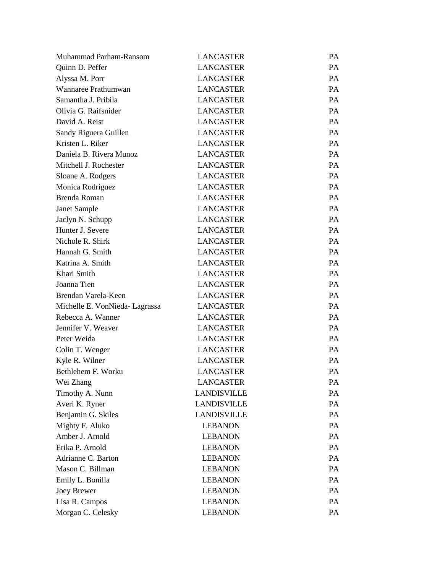| Muhammad Parham-Ransom        | <b>LANCASTER</b>   | PA |
|-------------------------------|--------------------|----|
| Quinn D. Peffer               | <b>LANCASTER</b>   | PA |
| Alyssa M. Porr                | <b>LANCASTER</b>   | PA |
| Wannaree Prathumwan           | <b>LANCASTER</b>   | PA |
| Samantha J. Pribila           | <b>LANCASTER</b>   | PA |
| Olivia G. Raifsnider          | <b>LANCASTER</b>   | PA |
| David A. Reist                | <b>LANCASTER</b>   | PA |
| Sandy Riguera Guillen         | <b>LANCASTER</b>   | PA |
| Kristen L. Riker              | <b>LANCASTER</b>   | PA |
| Daniela B. Rivera Munoz       | <b>LANCASTER</b>   | PA |
| Mitchell J. Rochester         | <b>LANCASTER</b>   | PA |
| Sloane A. Rodgers             | <b>LANCASTER</b>   | PA |
| Monica Rodriguez              | <b>LANCASTER</b>   | PA |
| Brenda Roman                  | <b>LANCASTER</b>   | PA |
| Janet Sample                  | <b>LANCASTER</b>   | PA |
| Jaclyn N. Schupp              | <b>LANCASTER</b>   | PA |
| Hunter J. Severe              | <b>LANCASTER</b>   | PA |
| Nichole R. Shirk              | <b>LANCASTER</b>   | PA |
| Hannah G. Smith               | <b>LANCASTER</b>   | PA |
| Katrina A. Smith              | <b>LANCASTER</b>   | PA |
| Khari Smith                   | <b>LANCASTER</b>   | PA |
| Joanna Tien                   | <b>LANCASTER</b>   | PA |
| Brendan Varela-Keen           | <b>LANCASTER</b>   | PA |
| Michelle E. VonNieda-Lagrassa | <b>LANCASTER</b>   | PA |
| Rebecca A. Wanner             | <b>LANCASTER</b>   | PA |
| Jennifer V. Weaver            | <b>LANCASTER</b>   | PA |
| Peter Weida                   | <b>LANCASTER</b>   | PA |
| Colin T. Wenger               | <b>LANCASTER</b>   | PA |
| Kyle R. Wilner                | <b>LANCASTER</b>   | PA |
| Bethlehem F. Worku            | <b>LANCASTER</b>   | PA |
| Wei Zhang                     | <b>LANCASTER</b>   | PA |
| Timothy A. Nunn               | <b>LANDISVILLE</b> | PA |
| Averi K. Ryner                | <b>LANDISVILLE</b> | PA |
| Benjamin G. Skiles            | <b>LANDISVILLE</b> | PA |
| Mighty F. Aluko               | <b>LEBANON</b>     | PA |
| Amber J. Arnold               | <b>LEBANON</b>     | PA |
| Erika P. Arnold               | <b>LEBANON</b>     | PA |
| Adrianne C. Barton            | <b>LEBANON</b>     | PA |
| Mason C. Billman              | <b>LEBANON</b>     | PA |
| Emily L. Bonilla              | <b>LEBANON</b>     | PA |
| Joey Brewer                   | <b>LEBANON</b>     | PA |
| Lisa R. Campos                | <b>LEBANON</b>     | PA |
| Morgan C. Celesky             | <b>LEBANON</b>     | PA |
|                               |                    |    |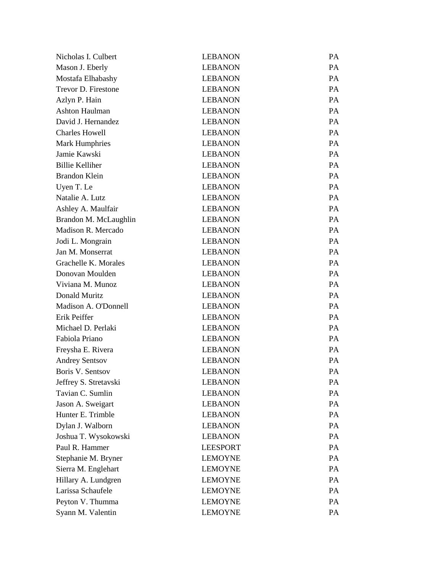| Nicholas I. Culbert    | <b>LEBANON</b>  | PA |
|------------------------|-----------------|----|
| Mason J. Eberly        | <b>LEBANON</b>  | PA |
| Mostafa Elhabashy      | <b>LEBANON</b>  | PA |
| Trevor D. Firestone    | <b>LEBANON</b>  | PA |
| Azlyn P. Hain          | <b>LEBANON</b>  | PA |
| Ashton Haulman         | <b>LEBANON</b>  | PA |
| David J. Hernandez     | <b>LEBANON</b>  | PA |
| <b>Charles Howell</b>  | <b>LEBANON</b>  | PA |
| <b>Mark Humphries</b>  | <b>LEBANON</b>  | PA |
| Jamie Kawski           | <b>LEBANON</b>  | PA |
| <b>Billie Kelliher</b> | <b>LEBANON</b>  | PA |
| <b>Brandon Klein</b>   | <b>LEBANON</b>  | PA |
| Uyen T. Le             | <b>LEBANON</b>  | PA |
| Natalie A. Lutz        | <b>LEBANON</b>  | PA |
| Ashley A. Maulfair     | <b>LEBANON</b>  | PA |
| Brandon M. McLaughlin  | <b>LEBANON</b>  | PA |
| Madison R. Mercado     | <b>LEBANON</b>  | PA |
| Jodi L. Mongrain       | <b>LEBANON</b>  | PA |
| Jan M. Monserrat       | <b>LEBANON</b>  | PA |
| Grachelle K. Morales   | <b>LEBANON</b>  | PA |
| Donovan Moulden        | <b>LEBANON</b>  | PA |
| Viviana M. Munoz       | <b>LEBANON</b>  | PA |
| Donald Muritz          | <b>LEBANON</b>  | PA |
| Madison A. O'Donnell   | <b>LEBANON</b>  | PA |
| Erik Peiffer           | <b>LEBANON</b>  | PA |
| Michael D. Perlaki     | <b>LEBANON</b>  | PA |
| Fabiola Priano         | <b>LEBANON</b>  | PA |
| Freysha E. Rivera      | <b>LEBANON</b>  | PA |
| <b>Andrey Sentsov</b>  | <b>LEBANON</b>  | PA |
| Boris V. Sentsov       | <b>LEBANON</b>  | PA |
| Jeffrey S. Stretavski  | <b>LEBANON</b>  | PA |
| Tavian C. Sumlin       | <b>LEBANON</b>  | PA |
| Jason A. Sweigart      | <b>LEBANON</b>  | PA |
| Hunter E. Trimble      | <b>LEBANON</b>  | PA |
| Dylan J. Walborn       | <b>LEBANON</b>  | PA |
| Joshua T. Wysokowski   | <b>LEBANON</b>  | PA |
| Paul R. Hammer         | <b>LEESPORT</b> | PA |
| Stephanie M. Bryner    | <b>LEMOYNE</b>  | PA |
| Sierra M. Englehart    | <b>LEMOYNE</b>  | PA |
| Hillary A. Lundgren    | <b>LEMOYNE</b>  | PA |
| Larissa Schaufele      | <b>LEMOYNE</b>  | PA |
| Peyton V. Thumma       | <b>LEMOYNE</b>  | PA |
| Syann M. Valentin      | <b>LEMOYNE</b>  | PA |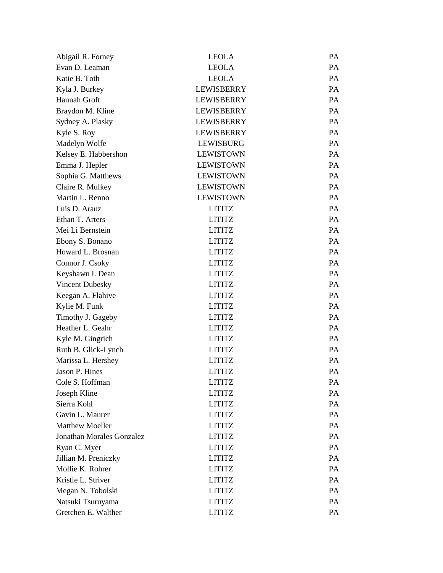| Abigail R. Forney         | <b>LEOLA</b>      | <b>PA</b> |
|---------------------------|-------------------|-----------|
| Evan D. Leaman            | <b>LEOLA</b>      | PA        |
| Katie B. Toth             | <b>LEOLA</b>      | <b>PA</b> |
| Kyla J. Burkey            | <b>LEWISBERRY</b> | PA        |
| Hannah Groft              | <b>LEWISBERRY</b> | <b>PA</b> |
| Braydon M. Kline          | <b>LEWISBERRY</b> | PA        |
| Sydney A. Plasky          | <b>LEWISBERRY</b> | <b>PA</b> |
| Kyle S. Roy               | <b>LEWISBERRY</b> | PA        |
| Madelyn Wolfe             | <b>LEWISBURG</b>  | <b>PA</b> |
| Kelsey E. Habbershon      | <b>LEWISTOWN</b>  | PA        |
| Emma J. Hepler            | <b>LEWISTOWN</b>  | <b>PA</b> |
| Sophia G. Matthews        | <b>LEWISTOWN</b>  | PA        |
| Claire R. Mulkey          | <b>LEWISTOWN</b>  | <b>PA</b> |
| Martin L. Renno           | <b>LEWISTOWN</b>  | PA        |
| Luis D. Arauz             | <b>LITITZ</b>     | <b>PA</b> |
| Ethan T. Arters           | <b>LITITZ</b>     | PA        |
| Mei Li Bernstein          | <b>LITITZ</b>     | <b>PA</b> |
| Ebony S. Bonano           | <b>LITITZ</b>     | PA        |
| Howard L. Brosnan         | <b>LITITZ</b>     | <b>PA</b> |
| Connor J. Csoky           | <b>LITITZ</b>     | PA        |
| Keyshawn I. Dean          | <b>LITITZ</b>     | <b>PA</b> |
| Vincent Dubesky           | <b>LITITZ</b>     | PA        |
| Keegan A. Flahive         | <b>LITITZ</b>     | <b>PA</b> |
| Kylie M. Funk             | <b>LITITZ</b>     | PA        |
| Timothy J. Gageby         | <b>LITITZ</b>     | <b>PA</b> |
| Heather L. Geahr          | <b>LITITZ</b>     | PA        |
| Kyle M. Gingrich          | <b>LITITZ</b>     | <b>PA</b> |
| Ruth B. Glick-Lynch       | <b>LITITZ</b>     | PA        |
| Marissa L. Hershey        | <b>LITITZ</b>     | <b>PA</b> |
| Jason P. Hines            | <b>LITITZ</b>     | PA        |
| Cole S. Hoffman           | <b>LITITZ</b>     | PA        |
| Joseph Kline              | <b>LITITZ</b>     | PA        |
| Sierra Kohl               | <b>LITITZ</b>     | PA        |
| Gavin L. Maurer           | <b>LITITZ</b>     | PA        |
| <b>Matthew Moeller</b>    | <b>LITITZ</b>     | PA        |
| Jonathan Morales Gonzalez | <b>LITITZ</b>     | PA        |
| Ryan C. Myer              | <b>LITITZ</b>     | PA        |
| Jillian M. Preniczky      | <b>LITITZ</b>     | PA        |
| Mollie K. Rohrer          | <b>LITITZ</b>     | PA        |
| Kristie L. Striver        | <b>LITITZ</b>     | PA        |
| Megan N. Tobolski         | <b>LITITZ</b>     | PA        |
| Natsuki Tsuruyama         | <b>LITITZ</b>     | PA        |
| Gretchen E. Walther       | <b>LITITZ</b>     | PA        |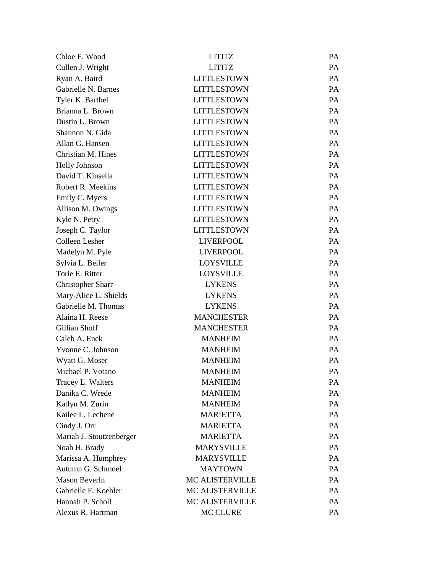| Chloe E. Wood            | <b>LITITZ</b>          | PA        |
|--------------------------|------------------------|-----------|
| Cullen J. Wright         | <b>LITITZ</b>          | PA        |
| Ryan A. Baird            | <b>LITTLESTOWN</b>     | PA        |
| Gabrielle N. Barnes      | <b>LITTLESTOWN</b>     | PA        |
| Tyler K. Barthel         | <b>LITTLESTOWN</b>     | <b>PA</b> |
| Brianna L. Brown         | <b>LITTLESTOWN</b>     | PA        |
| Dustin L. Brown          | <b>LITTLESTOWN</b>     | PA        |
| Shannon N. Gida          | <b>LITTLESTOWN</b>     | PA        |
| Allan G. Hansen          | <b>LITTLESTOWN</b>     | <b>PA</b> |
| Christian M. Hines       | <b>LITTLESTOWN</b>     | PA        |
| <b>Holly Johnson</b>     | <b>LITTLESTOWN</b>     | PA        |
| David T. Kinsella        | <b>LITTLESTOWN</b>     | PA        |
| Robert R. Meekins        | <b>LITTLESTOWN</b>     | <b>PA</b> |
| Emily C. Myers           | <b>LITTLESTOWN</b>     | PA        |
| Allison M. Owings        | <b>LITTLESTOWN</b>     | PA        |
| Kyle N. Petry            | <b>LITTLESTOWN</b>     | PA        |
| Joseph C. Taylor         | <b>LITTLESTOWN</b>     | <b>PA</b> |
| Colleen Lesher           | <b>LIVERPOOL</b>       | PA        |
| Madelyn M. Pyle          | <b>LIVERPOOL</b>       | PA        |
| Sylvia L. Beiler         | <b>LOYSVILLE</b>       | PA        |
| Torie E. Ritter          | <b>LOYSVILLE</b>       | <b>PA</b> |
| <b>Christopher Sharr</b> | <b>LYKENS</b>          | PA        |
| Mary-Alice L. Shields    | <b>LYKENS</b>          | PA        |
| Gabrielle M. Thomas      | <b>LYKENS</b>          | PA        |
| Alaina H. Reese          | <b>MANCHESTER</b>      | <b>PA</b> |
| Gillian Shoff            | <b>MANCHESTER</b>      | PA        |
| Caleb A. Enck            | <b>MANHEIM</b>         | PA        |
| Yvonne C. Johnson        | <b>MANHEIM</b>         | PA        |
| Wyatt G. Moser           | <b>MANHEIM</b>         | PA        |
| Michael P. Votano        | <b>MANHEIM</b>         | PA        |
| Tracey L. Walters        | <b>MANHEIM</b>         | PA        |
| Danika C. Wrede          | <b>MANHEIM</b>         | PA        |
| Katlyn M. Zurin          | <b>MANHEIM</b>         | PA        |
| Kailee L. Lechene        | <b>MARIETTA</b>        | PA        |
| Cindy J. Orr             | <b>MARIETTA</b>        | PA        |
| Mariah J. Stoutzenberger | <b>MARIETTA</b>        | PA        |
| Noah H. Brady            | <b>MARYSVILLE</b>      | PA        |
| Marissa A. Humphrey      | <b>MARYSVILLE</b>      | PA        |
| Autumn G. Schmoel        | <b>MAYTOWN</b>         | PA        |
| <b>Mason Beverln</b>     | <b>MC ALISTERVILLE</b> | PA        |
| Gabrielle F. Koehler     | <b>MC ALISTERVILLE</b> | PA        |
| Hannah P. Scholl         | MC ALISTERVILLE        | PA        |
| Alexus R. Hartman        | MC CLURE               | PA        |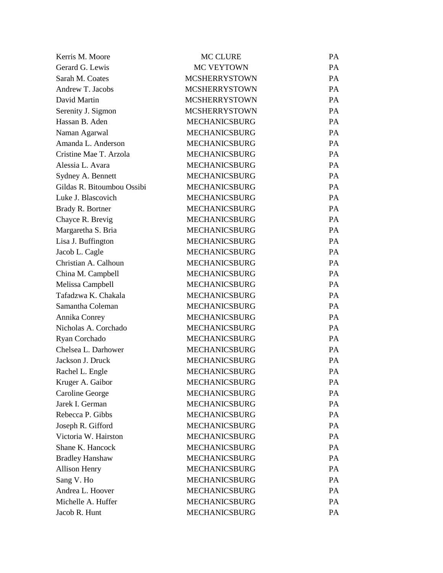| Kerris M. Moore            | <b>MC CLURE</b>      | <b>PA</b> |
|----------------------------|----------------------|-----------|
| Gerard G. Lewis            | MC VEYTOWN           | PA        |
| Sarah M. Coates            | <b>MCSHERRYSTOWN</b> | <b>PA</b> |
| Andrew T. Jacobs           | <b>MCSHERRYSTOWN</b> | PA        |
| David Martin               | <b>MCSHERRYSTOWN</b> | <b>PA</b> |
| Serenity J. Sigmon         | <b>MCSHERRYSTOWN</b> | PA        |
| Hassan B. Aden             | <b>MECHANICSBURG</b> | <b>PA</b> |
| Naman Agarwal              | <b>MECHANICSBURG</b> | PA        |
| Amanda L. Anderson         | <b>MECHANICSBURG</b> | <b>PA</b> |
| Cristine Mae T. Arzola     | <b>MECHANICSBURG</b> | PA        |
| Alessia L. Avara           | <b>MECHANICSBURG</b> | <b>PA</b> |
| Sydney A. Bennett          | <b>MECHANICSBURG</b> | PA        |
| Gildas R. Bitoumbou Ossibi | <b>MECHANICSBURG</b> | <b>PA</b> |
| Luke J. Blascovich         | <b>MECHANICSBURG</b> | PA        |
| Brady R. Bortner           | <b>MECHANICSBURG</b> | <b>PA</b> |
| Chayce R. Brevig           | <b>MECHANICSBURG</b> | PA        |
| Margaretha S. Bria         | <b>MECHANICSBURG</b> | <b>PA</b> |
| Lisa J. Buffington         | <b>MECHANICSBURG</b> | PA        |
| Jacob L. Cagle             | <b>MECHANICSBURG</b> | <b>PA</b> |
| Christian A. Calhoun       | <b>MECHANICSBURG</b> | PA        |
| China M. Campbell          | <b>MECHANICSBURG</b> | <b>PA</b> |
| Melissa Campbell           | <b>MECHANICSBURG</b> | PA        |
| Tafadzwa K. Chakala        | <b>MECHANICSBURG</b> | <b>PA</b> |
| Samantha Coleman           | <b>MECHANICSBURG</b> | PA        |
| Annika Conrey              | <b>MECHANICSBURG</b> | <b>PA</b> |
| Nicholas A. Corchado       | <b>MECHANICSBURG</b> | PA        |
| Ryan Corchado              | <b>MECHANICSBURG</b> | PA        |
| Chelsea L. Darhower        | <b>MECHANICSBURG</b> | PA        |
| Jackson J. Druck           | <b>MECHANICSBURG</b> | <b>PA</b> |
| Rachel L. Engle            | <b>MECHANICSBURG</b> | PA        |
| Kruger A. Gaibor           | <b>MECHANICSBURG</b> | <b>PA</b> |
| Caroline George            | <b>MECHANICSBURG</b> | PA        |
| Jarek I. German            | <b>MECHANICSBURG</b> | PA        |
| Rebecca P. Gibbs           | <b>MECHANICSBURG</b> | PA        |
| Joseph R. Gifford          | <b>MECHANICSBURG</b> | PA        |
| Victoria W. Hairston       | <b>MECHANICSBURG</b> | PA        |
| Shane K. Hancock           | <b>MECHANICSBURG</b> | PA        |
| <b>Bradley Hanshaw</b>     | <b>MECHANICSBURG</b> | PA        |
| <b>Allison Henry</b>       | <b>MECHANICSBURG</b> | PA        |
| Sang V. Ho                 | <b>MECHANICSBURG</b> | PA        |
| Andrea L. Hoover           | <b>MECHANICSBURG</b> | PA        |
| Michelle A. Huffer         | <b>MECHANICSBURG</b> | PA        |
| Jacob R. Hunt              | <b>MECHANICSBURG</b> | PA        |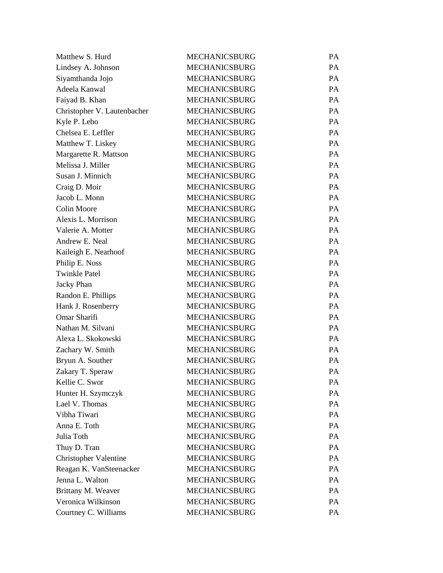| Matthew S. Hurd              | <b>MECHANICSBURG</b> | PA |
|------------------------------|----------------------|----|
| Lindsey A. Johnson           | <b>MECHANICSBURG</b> | PA |
| Siyamthanda Jojo             | <b>MECHANICSBURG</b> | PA |
| Adeela Kanwal                | <b>MECHANICSBURG</b> | PA |
| Faiyad B. Khan               | <b>MECHANICSBURG</b> | PA |
| Christopher V. Lautenbacher  | <b>MECHANICSBURG</b> | PA |
| Kyle P. Lebo                 | <b>MECHANICSBURG</b> | PA |
| Chelsea E. Leffler           | <b>MECHANICSBURG</b> | PA |
| Matthew T. Liskey            | <b>MECHANICSBURG</b> | PA |
| Margarette R. Mattson        | <b>MECHANICSBURG</b> | PA |
| Melissa J. Miller            | <b>MECHANICSBURG</b> | PA |
| Susan J. Minnich             | <b>MECHANICSBURG</b> | PA |
| Craig D. Moir                | <b>MECHANICSBURG</b> | PA |
| Jacob L. Monn                | <b>MECHANICSBURG</b> | PA |
| <b>Colin Moore</b>           | <b>MECHANICSBURG</b> | PA |
| Alexis L. Morrison           | <b>MECHANICSBURG</b> | PA |
| Valerie A. Motter            | <b>MECHANICSBURG</b> | PA |
| Andrew E. Neal               | <b>MECHANICSBURG</b> | PA |
| Kaileigh E. Nearhoof         | <b>MECHANICSBURG</b> | PA |
| Philip E. Noss               | <b>MECHANICSBURG</b> | PA |
| <b>Twinkle Patel</b>         | <b>MECHANICSBURG</b> | PA |
| <b>Jacky Phan</b>            | <b>MECHANICSBURG</b> | PA |
| Randon E. Phillips           | <b>MECHANICSBURG</b> | PA |
| Hank J. Rosenberry           | <b>MECHANICSBURG</b> | PA |
| Omar Sharifi                 | <b>MECHANICSBURG</b> | PA |
| Nathan M. Silvani            | <b>MECHANICSBURG</b> | PA |
| Alexa L. Skokowski           | <b>MECHANICSBURG</b> | PA |
| Zachary W. Smith             | <b>MECHANICSBURG</b> | PA |
| Bryun A. Souther             | <b>MECHANICSBURG</b> | PA |
| Zakary T. Speraw             | <b>MECHANICSBURG</b> | PA |
| Kellie C. Swor               | <b>MECHANICSBURG</b> | PA |
| Hunter H. Szymczyk           | <b>MECHANICSBURG</b> | PA |
| Lael V. Thomas               | <b>MECHANICSBURG</b> | PA |
| Vibha Tiwari                 | <b>MECHANICSBURG</b> | PA |
| Anna E. Toth                 | <b>MECHANICSBURG</b> | PA |
| Julia Toth                   | <b>MECHANICSBURG</b> | PA |
| Thuy D. Tran                 | <b>MECHANICSBURG</b> | PA |
| <b>Christopher Valentine</b> | <b>MECHANICSBURG</b> | PA |
| Reagan K. VanSteenacker      | <b>MECHANICSBURG</b> | PA |
| Jenna L. Walton              | <b>MECHANICSBURG</b> | PA |
| Brittany M. Weaver           | <b>MECHANICSBURG</b> | PA |
| Veronica Wilkinson           | <b>MECHANICSBURG</b> | PA |
| Courtney C. Williams         | MECHANICSBURG        | PA |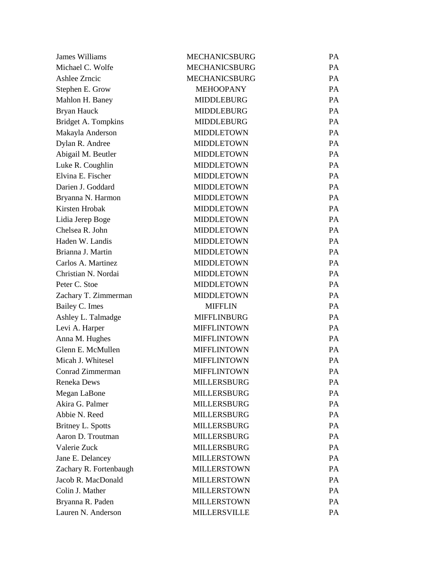| James Williams         | <b>MECHANICSBURG</b> | PA        |
|------------------------|----------------------|-----------|
| Michael C. Wolfe       | <b>MECHANICSBURG</b> | PA        |
| Ashlee Zrncic          | <b>MECHANICSBURG</b> | PA        |
| Stephen E. Grow        | <b>MEHOOPANY</b>     | PA        |
| Mahlon H. Baney        | <b>MIDDLEBURG</b>    | PA        |
| Bryan Hauck            | <b>MIDDLEBURG</b>    | PA        |
| Bridget A. Tompkins    | <b>MIDDLEBURG</b>    | PA        |
| Makayla Anderson       | <b>MIDDLETOWN</b>    | PA        |
| Dylan R. Andree        | <b>MIDDLETOWN</b>    | PA        |
| Abigail M. Beutler     | <b>MIDDLETOWN</b>    | PA        |
| Luke R. Coughlin       | <b>MIDDLETOWN</b>    | PA        |
| Elvina E. Fischer      | <b>MIDDLETOWN</b>    | PA        |
| Darien J. Goddard      | <b>MIDDLETOWN</b>    | PA        |
| Bryanna N. Harmon      | <b>MIDDLETOWN</b>    | PA        |
| Kirsten Hrobak         | <b>MIDDLETOWN</b>    | PA        |
| Lidia Jerep Boge       | <b>MIDDLETOWN</b>    | PA        |
| Chelsea R. John        | <b>MIDDLETOWN</b>    | PA        |
| Haden W. Landis        | <b>MIDDLETOWN</b>    | PA        |
| Brianna J. Martin      | <b>MIDDLETOWN</b>    | PA        |
| Carlos A. Martinez     | <b>MIDDLETOWN</b>    | PA        |
| Christian N. Nordai    | <b>MIDDLETOWN</b>    | PA        |
| Peter C. Stoe          | <b>MIDDLETOWN</b>    | PA        |
| Zachary T. Zimmerman   | <b>MIDDLETOWN</b>    | PA        |
| Bailey C. Imes         | <b>MIFFLIN</b>       | <b>PA</b> |
| Ashley L. Talmadge     | <b>MIFFLINBURG</b>   | PA        |
| Levi A. Harper         | <b>MIFFLINTOWN</b>   | PA        |
| Anna M. Hughes         | <b>MIFFLINTOWN</b>   | PA        |
| Glenn E. McMullen      | <b>MIFFLINTOWN</b>   | PA        |
| Micah J. Whitesel      | <b>MIFFLINTOWN</b>   | PA        |
| Conrad Zimmerman       | <b>MIFFLINTOWN</b>   | PA        |
| <b>Reneka Dews</b>     | <b>MILLERSBURG</b>   | PA        |
| Megan LaBone           | <b>MILLERSBURG</b>   | PA        |
| Akira G. Palmer        | <b>MILLERSBURG</b>   | PA        |
| Abbie N. Reed          | <b>MILLERSBURG</b>   | PA        |
| Britney L. Spotts      | <b>MILLERSBURG</b>   | PA        |
| Aaron D. Troutman      | <b>MILLERSBURG</b>   | PA        |
| Valerie Zuck           | <b>MILLERSBURG</b>   | PA        |
| Jane E. Delancey       | <b>MILLERSTOWN</b>   | PA        |
| Zachary R. Fortenbaugh | <b>MILLERSTOWN</b>   | PA        |
| Jacob R. MacDonald     | <b>MILLERSTOWN</b>   | PA        |
| Colin J. Mather        | <b>MILLERSTOWN</b>   | PA        |
| Bryanna R. Paden       | <b>MILLERSTOWN</b>   | PA        |
| Lauren N. Anderson     | <b>MILLERSVILLE</b>  | PA        |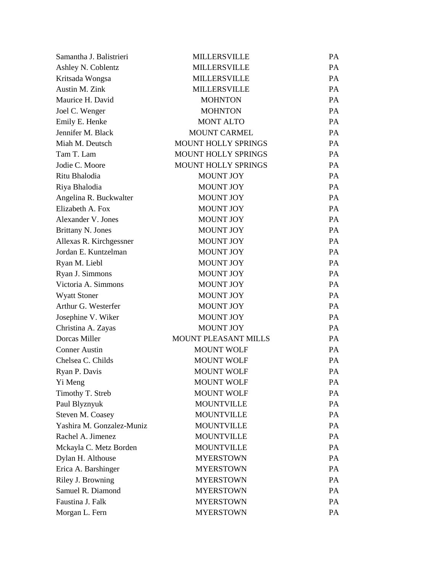| Samantha J. Balistrieri   | <b>MILLERSVILLE</b>         | PA |
|---------------------------|-----------------------------|----|
| Ashley N. Coblentz        | <b>MILLERSVILLE</b>         | PA |
| Kritsada Wongsa           | <b>MILLERSVILLE</b>         | PA |
| Austin M. Zink            | <b>MILLERSVILLE</b>         | PA |
| Maurice H. David          | <b>MOHNTON</b>              | PA |
| Joel C. Wenger            | <b>MOHNTON</b>              | PA |
| Emily E. Henke            | <b>MONT ALTO</b>            | PA |
| Jennifer M. Black         | <b>MOUNT CARMEL</b>         | PA |
| Miah M. Deutsch           | <b>MOUNT HOLLY SPRINGS</b>  | PA |
| Tam T. Lam                | MOUNT HOLLY SPRINGS         | PA |
| Jodie C. Moore            | MOUNT HOLLY SPRINGS         | PA |
| Ritu Bhalodia             | <b>MOUNT JOY</b>            | PA |
| Riya Bhalodia             | <b>MOUNT JOY</b>            | PA |
| Angelina R. Buckwalter    | <b>MOUNT JOY</b>            | PA |
| Elizabeth A. Fox          | <b>MOUNT JOY</b>            | PA |
| Alexander V. Jones        | <b>MOUNT JOY</b>            | PA |
| <b>Brittany N. Jones</b>  | <b>MOUNT JOY</b>            | PA |
| Allexas R. Kirchgessner   | <b>MOUNT JOY</b>            | PA |
| Jordan E. Kuntzelman      | MOUNT JOY                   | PA |
| Ryan M. Liebl             | <b>MOUNT JOY</b>            | PA |
| Ryan J. Simmons           | <b>MOUNT JOY</b>            | PA |
| Victoria A. Simmons       | <b>MOUNT JOY</b>            | PA |
| <b>Wyatt Stoner</b>       | MOUNT JOY                   | PA |
| Arthur G. Westerfer       | <b>MOUNT JOY</b>            | PA |
| Josephine V. Wiker        | <b>MOUNT JOY</b>            | PA |
| Christina A. Zayas        | <b>MOUNT JOY</b>            | PA |
| Dorcas Miller             | <b>MOUNT PLEASANT MILLS</b> | PA |
| <b>Conner Austin</b>      | <b>MOUNT WOLF</b>           | PA |
| Chelsea C. Childs         | <b>MOUNT WOLF</b>           | PA |
| Ryan P. Davis             | <b>MOUNT WOLF</b>           | PA |
| Yi Meng                   | <b>MOUNT WOLF</b>           | PA |
| Timothy T. Streb          | <b>MOUNT WOLF</b>           | PA |
| Paul Blyznyuk             | <b>MOUNTVILLE</b>           | PA |
| Steven M. Coasey          | <b>MOUNTVILLE</b>           | PA |
| Yashira M. Gonzalez-Muniz | <b>MOUNTVILLE</b>           | PA |
| Rachel A. Jimenez         | <b>MOUNTVILLE</b>           | PA |
| Mckayla C. Metz Borden    | <b>MOUNTVILLE</b>           | PA |
| Dylan H. Althouse         | <b>MYERSTOWN</b>            | PA |
| Erica A. Barshinger       | <b>MYERSTOWN</b>            | PA |
| Riley J. Browning         | <b>MYERSTOWN</b>            | PA |
| Samuel R. Diamond         | <b>MYERSTOWN</b>            | PA |
| Faustina J. Falk          | <b>MYERSTOWN</b>            | PA |
| Morgan L. Fern            | <b>MYERSTOWN</b>            | PA |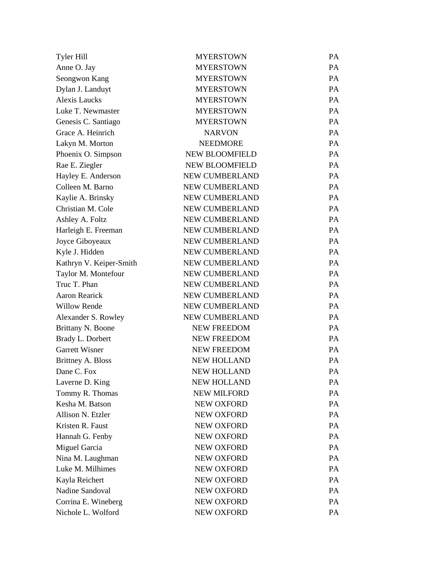| Tyler Hill              | <b>MYERSTOWN</b>      | <b>PA</b> |
|-------------------------|-----------------------|-----------|
| Anne O. Jay             | <b>MYERSTOWN</b>      | PA        |
| Seongwon Kang           | <b>MYERSTOWN</b>      | <b>PA</b> |
| Dylan J. Landuyt        | <b>MYERSTOWN</b>      | PA        |
| <b>Alexis Laucks</b>    | <b>MYERSTOWN</b>      | <b>PA</b> |
| Luke T. Newmaster       | <b>MYERSTOWN</b>      | PA        |
| Genesis C. Santiago     | <b>MYERSTOWN</b>      | <b>PA</b> |
| Grace A. Heinrich       | <b>NARVON</b>         | PA        |
| Lakyn M. Morton         | <b>NEEDMORE</b>       | <b>PA</b> |
| Phoenix O. Simpson      | <b>NEW BLOOMFIELD</b> | PA        |
| Rae E. Ziegler          | <b>NEW BLOOMFIELD</b> | <b>PA</b> |
| Hayley E. Anderson      | NEW CUMBERLAND        | PA        |
| Colleen M. Barno        | <b>NEW CUMBERLAND</b> | <b>PA</b> |
| Kaylie A. Brinsky       | NEW CUMBERLAND        | PA        |
| Christian M. Cole       | NEW CUMBERLAND        | <b>PA</b> |
| Ashley A. Foltz         | NEW CUMBERLAND        | PA        |
| Harleigh E. Freeman     | <b>NEW CUMBERLAND</b> | <b>PA</b> |
| Joyce Giboyeaux         | NEW CUMBERLAND        | PA        |
| Kyle J. Hidden          | NEW CUMBERLAND        | <b>PA</b> |
| Kathryn V. Keiper-Smith | NEW CUMBERLAND        | PA        |
| Taylor M. Montefour     | <b>NEW CUMBERLAND</b> | <b>PA</b> |
| Truc T. Phan            | NEW CUMBERLAND        | PA        |
| <b>Aaron Rearick</b>    | NEW CUMBERLAND        | <b>PA</b> |
| <b>Willow Rende</b>     | NEW CUMBERLAND        | PA        |
| Alexander S. Rowley     | <b>NEW CUMBERLAND</b> | <b>PA</b> |
| Brittany N. Boone       | <b>NEW FREEDOM</b>    | PA        |
| Brady L. Dorbert        | <b>NEW FREEDOM</b>    | PA        |
| Garrett Wisner          | <b>NEW FREEDOM</b>    | PA        |
| Brittney A. Bloss       | <b>NEW HOLLAND</b>    | <b>PA</b> |
| Dane C. Fox             | <b>NEW HOLLAND</b>    | PA        |
| Laverne D. King         | <b>NEW HOLLAND</b>    | <b>PA</b> |
| Tommy R. Thomas         | <b>NEW MILFORD</b>    | PA        |
| Kesha M. Batson         | <b>NEW OXFORD</b>     | PA        |
| Allison N. Etzler       | <b>NEW OXFORD</b>     | PA        |
| Kristen R. Faust        | <b>NEW OXFORD</b>     | PA        |
| Hannah G. Fenby         | NEW OXFORD            | PA        |
| Miguel Garcia           | <b>NEW OXFORD</b>     | PA        |
| Nina M. Laughman        | <b>NEW OXFORD</b>     | PA        |
| Luke M. Milhimes        | <b>NEW OXFORD</b>     | PA        |
| Kayla Reichert          | NEW OXFORD            | PA        |
| Nadine Sandoval         | <b>NEW OXFORD</b>     | PA        |
| Corrina E. Wineberg     | <b>NEW OXFORD</b>     | PA        |
| Nichole L. Wolford      | NEW OXFORD            | PA        |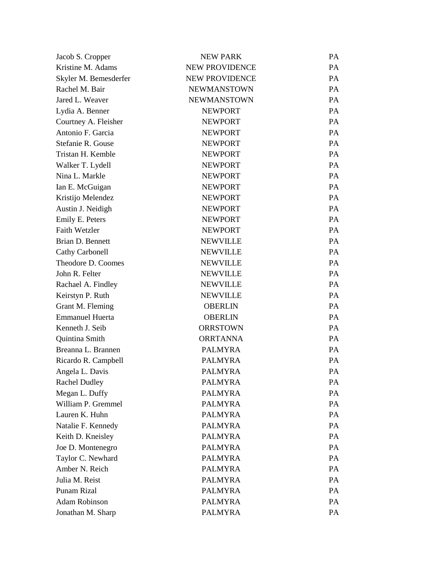| Jacob S. Cropper       | <b>NEW PARK</b>       | PA        |
|------------------------|-----------------------|-----------|
| Kristine M. Adams      | <b>NEW PROVIDENCE</b> | PA        |
| Skyler M. Bemesderfer  | <b>NEW PROVIDENCE</b> | PA        |
| Rachel M. Bair         | <b>NEWMANSTOWN</b>    | PA        |
| Jared L. Weaver        | <b>NEWMANSTOWN</b>    | <b>PA</b> |
| Lydia A. Benner        | <b>NEWPORT</b>        | PA        |
| Courtney A. Fleisher   | <b>NEWPORT</b>        | PA        |
| Antonio F. Garcia      | <b>NEWPORT</b>        | PA        |
| Stefanie R. Gouse      | <b>NEWPORT</b>        | PA        |
| Tristan H. Kemble      | <b>NEWPORT</b>        | PA        |
| Walker T. Lydell       | <b>NEWPORT</b>        | PA        |
| Nina L. Markle         | <b>NEWPORT</b>        | PA        |
| Ian E. McGuigan        | <b>NEWPORT</b>        | <b>PA</b> |
| Kristijo Melendez      | <b>NEWPORT</b>        | PA        |
| Austin J. Neidigh      | <b>NEWPORT</b>        | PA        |
| Emily E. Peters        | <b>NEWPORT</b>        | PA        |
| <b>Faith Wetzler</b>   | <b>NEWPORT</b>        | <b>PA</b> |
| Brian D. Bennett       | <b>NEWVILLE</b>       | PA        |
| Cathy Carbonell        | <b>NEWVILLE</b>       | PA        |
| Theodore D. Coomes     | <b>NEWVILLE</b>       | PA        |
| John R. Felter         | <b>NEWVILLE</b>       | PA        |
| Rachael A. Findley     | <b>NEWVILLE</b>       | PA        |
| Keirstyn P. Ruth       | <b>NEWVILLE</b>       | PA        |
| Grant M. Fleming       | <b>OBERLIN</b>        | <b>PA</b> |
| <b>Emmanuel Huerta</b> | <b>OBERLIN</b>        | PA        |
| Kenneth J. Seib        | <b>ORRSTOWN</b>       | <b>PA</b> |
| Quintina Smith         | <b>ORRTANNA</b>       | PA        |
| Breanna L. Brannen     | <b>PALMYRA</b>        | <b>PA</b> |
| Ricardo R. Campbell    | <b>PALMYRA</b>        | PA        |
| Angela L. Davis        | <b>PALMYRA</b>        | PA        |
| <b>Rachel Dudley</b>   | <b>PALMYRA</b>        | PA        |
| Megan L. Duffy         | <b>PALMYRA</b>        | PA        |
| William P. Gremmel     | <b>PALMYRA</b>        | PA        |
| Lauren K. Huhn         | <b>PALMYRA</b>        | PA        |
| Natalie F. Kennedy     | <b>PALMYRA</b>        | PA        |
| Keith D. Kneisley      | <b>PALMYRA</b>        | PA        |
| Joe D. Montenegro      | <b>PALMYRA</b>        | PA        |
| Taylor C. Newhard      | <b>PALMYRA</b>        | PA        |
| Amber N. Reich         | <b>PALMYRA</b>        | PA        |
| Julia M. Reist         | <b>PALMYRA</b>        | PA        |
| Punam Rizal            | <b>PALMYRA</b>        | PA        |
| <b>Adam Robinson</b>   | <b>PALMYRA</b>        | PA        |
| Jonathan M. Sharp      | <b>PALMYRA</b>        | PA        |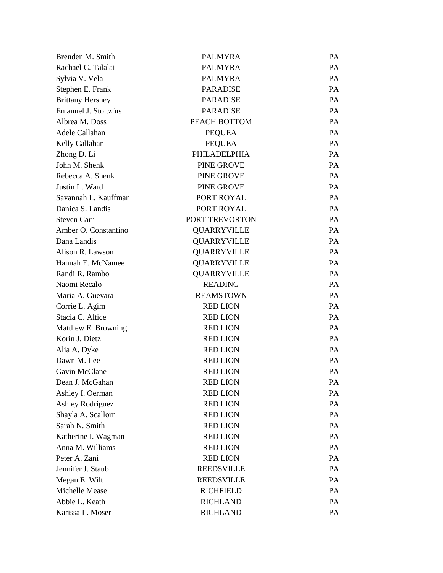| Brenden M. Smith            | <b>PALMYRA</b>      | PA |
|-----------------------------|---------------------|----|
| Rachael C. Talalai          | <b>PALMYRA</b>      | PA |
| Sylvia V. Vela              | <b>PALMYRA</b>      | PA |
| Stephen E. Frank            | <b>PARADISE</b>     | PA |
| <b>Brittany Hershey</b>     | <b>PARADISE</b>     | PA |
| <b>Emanuel J. Stoltzfus</b> | <b>PARADISE</b>     | PA |
| Albrea M. Doss              | PEACH BOTTOM        | PA |
| Adele Callahan              | <b>PEQUEA</b>       | PA |
| Kelly Callahan              | <b>PEQUEA</b>       | PA |
| Zhong D. Li                 | <b>PHILADELPHIA</b> | PA |
| John M. Shenk               | <b>PINE GROVE</b>   | PA |
| Rebecca A. Shenk            | <b>PINE GROVE</b>   | PA |
| Justin L. Ward              | <b>PINE GROVE</b>   | PA |
| Savannah L. Kauffman        | PORT ROYAL          | PA |
| Danica S. Landis            | PORT ROYAL          | PA |
| <b>Steven Carr</b>          | PORT TREVORTON      | PA |
| Amber O. Constantino        | QUARRYVILLE         | PA |
| Dana Landis                 | QUARRYVILLE         | PA |
| Alison R. Lawson            | <b>QUARRYVILLE</b>  | PA |
| Hannah E. McNamee           | QUARRYVILLE         | PA |
| Randi R. Rambo              | QUARRYVILLE         | PA |
| Naomi Recalo                | <b>READING</b>      | PA |
| Maria A. Guevara            | <b>REAMSTOWN</b>    | PA |
| Corrie L. Agim              | <b>RED LION</b>     | PA |
| Stacia C. Altice            | <b>RED LION</b>     | PA |
| Matthew E. Browning         | <b>RED LION</b>     | PA |
| Korin J. Dietz              | <b>RED LION</b>     | PA |
| Alia A. Dyke                | <b>RED LION</b>     | PA |
| Dawn M. Lee                 | <b>RED LION</b>     | PA |
| Gavin McClane               | <b>RED LION</b>     | PA |
| Dean J. McGahan             | <b>RED LION</b>     | PA |
| Ashley I. Oerman            | <b>RED LION</b>     | PA |
| <b>Ashley Rodriguez</b>     | <b>RED LION</b>     | PA |
| Shayla A. Scallorn          | <b>RED LION</b>     | PA |
| Sarah N. Smith              | <b>RED LION</b>     | PA |
| Katherine I. Wagman         | <b>RED LION</b>     | PA |
| Anna M. Williams            | <b>RED LION</b>     | PA |
| Peter A. Zani               | <b>RED LION</b>     | PA |
| Jennifer J. Staub           | <b>REEDSVILLE</b>   | PA |
| Megan E. Wilt               | <b>REEDSVILLE</b>   | PA |
| Michelle Mease              | <b>RICHFIELD</b>    | PA |
| Abbie L. Keath              | <b>RICHLAND</b>     | PA |
| Karissa L. Moser            | <b>RICHLAND</b>     | PA |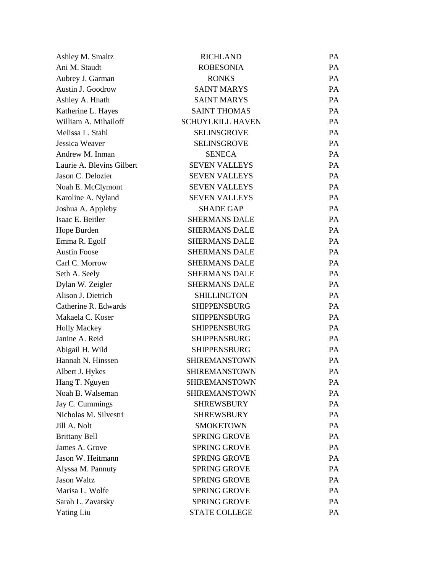| Ashley M. Smaltz          | <b>RICHLAND</b>         | PA |
|---------------------------|-------------------------|----|
| Ani M. Staudt             | <b>ROBESONIA</b>        | PA |
| Aubrey J. Garman          | <b>RONKS</b>            | PA |
| Austin J. Goodrow         | <b>SAINT MARYS</b>      | PA |
| Ashley A. Hnath           | <b>SAINT MARYS</b>      | PA |
| Katherine L. Hayes        | <b>SAINT THOMAS</b>     | PA |
| William A. Mihailoff      | <b>SCHUYLKILL HAVEN</b> | PA |
| Melissa L. Stahl          | <b>SELINSGROVE</b>      | PA |
| Jessica Weaver            | <b>SELINSGROVE</b>      | PA |
| Andrew M. Inman           | <b>SENECA</b>           | PA |
| Laurie A. Blevins Gilbert | <b>SEVEN VALLEYS</b>    | PA |
| Jason C. Delozier         | <b>SEVEN VALLEYS</b>    | PA |
| Noah E. McClymont         | <b>SEVEN VALLEYS</b>    | PA |
| Karoline A. Nyland        | <b>SEVEN VALLEYS</b>    | PA |
| Joshua A. Appleby         | <b>SHADE GAP</b>        | PA |
| Isaac E. Beitler          | <b>SHERMANS DALE</b>    | PA |
| Hope Burden               | <b>SHERMANS DALE</b>    | PA |
| Emma R. Egolf             | <b>SHERMANS DALE</b>    | PA |
| <b>Austin Foose</b>       | <b>SHERMANS DALE</b>    | PA |
| Carl C. Morrow            | <b>SHERMANS DALE</b>    | PA |
| Seth A. Seely             | <b>SHERMANS DALE</b>    | PA |
| Dylan W. Zeigler          | <b>SHERMANS DALE</b>    | PA |
| Alison J. Dietrich        | <b>SHILLINGTON</b>      | PA |
| Catherine R. Edwards      | <b>SHIPPENSBURG</b>     | PA |
| Makaela C. Koser          | <b>SHIPPENSBURG</b>     | PA |
| <b>Holly Mackey</b>       | <b>SHIPPENSBURG</b>     | PA |
| Janine A. Reid            | <b>SHIPPENSBURG</b>     | PA |
| Abigail H. Wild           | <b>SHIPPENSBURG</b>     | PA |
| Hannah N. Hinssen         | <b>SHIREMANSTOWN</b>    | PA |
| Albert J. Hykes           | <b>SHIREMANSTOWN</b>    | PA |
| Hang T. Nguyen            | <b>SHIREMANSTOWN</b>    | PA |
| Noah B. Walseman          | <b>SHIREMANSTOWN</b>    | PA |
| Jay C. Cummings           | <b>SHREWSBURY</b>       | PA |
| Nicholas M. Silvestri     | <b>SHREWSBURY</b>       | PA |
| Jill A. Nolt              | <b>SMOKETOWN</b>        | PA |
| <b>Brittany Bell</b>      | <b>SPRING GROVE</b>     | PA |
| James A. Grove            | <b>SPRING GROVE</b>     | PA |
| Jason W. Heitmann         | <b>SPRING GROVE</b>     | PA |
| Alyssa M. Pannuty         | <b>SPRING GROVE</b>     | PA |
| <b>Jason Waltz</b>        | <b>SPRING GROVE</b>     | PA |
| Marisa L. Wolfe           | <b>SPRING GROVE</b>     | PA |
| Sarah L. Zavatsky         | <b>SPRING GROVE</b>     | PA |
| <b>Yating Liu</b>         | <b>STATE COLLEGE</b>    | PA |
|                           |                         |    |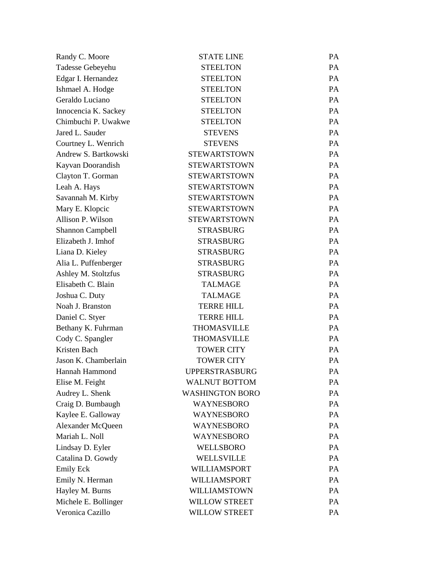| Randy C. Moore          | <b>STATE LINE</b>      | PA        |
|-------------------------|------------------------|-----------|
| Tadesse Gebeyehu        | <b>STEELTON</b>        | PA        |
| Edgar I. Hernandez      | <b>STEELTON</b>        | PA        |
| Ishmael A. Hodge        | <b>STEELTON</b>        | PA        |
| Geraldo Luciano         | <b>STEELTON</b>        | <b>PA</b> |
| Innocencia K. Sackey    | <b>STEELTON</b>        | PA        |
| Chimbuchi P. Uwakwe     | <b>STEELTON</b>        | <b>PA</b> |
| Jared L. Sauder         | <b>STEVENS</b>         | PA        |
| Courtney L. Wenrich     | <b>STEVENS</b>         | <b>PA</b> |
| Andrew S. Bartkowski    | <b>STEWARTSTOWN</b>    | PA        |
| Kayvan Doorandish       | <b>STEWARTSTOWN</b>    | PA        |
| Clayton T. Gorman       | <b>STEWARTSTOWN</b>    | PA        |
| Leah A. Hays            | <b>STEWARTSTOWN</b>    | <b>PA</b> |
| Savannah M. Kirby       | <b>STEWARTSTOWN</b>    | PA        |
| Mary E. Klopcic         | <b>STEWARTSTOWN</b>    | PA        |
| Allison P. Wilson       | <b>STEWARTSTOWN</b>    | PA        |
| <b>Shannon Campbell</b> | <b>STRASBURG</b>       | <b>PA</b> |
| Elizabeth J. Imhof      | <b>STRASBURG</b>       | PA        |
| Liana D. Kieley         | <b>STRASBURG</b>       | PA        |
| Alia L. Puffenberger    | <b>STRASBURG</b>       | PA        |
| Ashley M. Stoltzfus     | <b>STRASBURG</b>       | <b>PA</b> |
| Elisabeth C. Blain      | <b>TALMAGE</b>         | PA        |
| Joshua C. Duty          | <b>TALMAGE</b>         | PA        |
| Noah J. Branston        | <b>TERRE HILL</b>      | PA        |
| Daniel C. Styer         | <b>TERRE HILL</b>      | <b>PA</b> |
| Bethany K. Fuhrman      | <b>THOMASVILLE</b>     | PA        |
| Cody C. Spangler        | <b>THOMASVILLE</b>     | PA        |
| Kristen Bach            | <b>TOWER CITY</b>      | PA        |
| Jason K. Chamberlain    | <b>TOWER CITY</b>      | PA        |
| Hannah Hammond          | <b>UPPERSTRASBURG</b>  | PA        |
| Elise M. Feight         | <b>WALNUT BOTTOM</b>   | PA        |
| Audrey L. Shenk         | <b>WASHINGTON BORO</b> | PA        |
| Craig D. Bumbaugh       | WAYNESBORO             | PA        |
| Kaylee E. Galloway      | <b>WAYNESBORO</b>      | PA        |
| Alexander McQueen       | WAYNESBORO             | PA        |
| Mariah L. Noll          | <b>WAYNESBORO</b>      | PA        |
| Lindsay D. Eyler        | <b>WELLSBORO</b>       | PA        |
| Catalina D. Gowdy       | WELLSVILLE             | PA        |
| <b>Emily Eck</b>        | WILLIAMSPORT           | PA        |
| Emily N. Herman         | WILLIAMSPORT           | PA        |
| Hayley M. Burns         | WILLIAMSTOWN           | PA        |
| Michele E. Bollinger    | <b>WILLOW STREET</b>   | PA        |
| Veronica Cazillo        | <b>WILLOW STREET</b>   | PA        |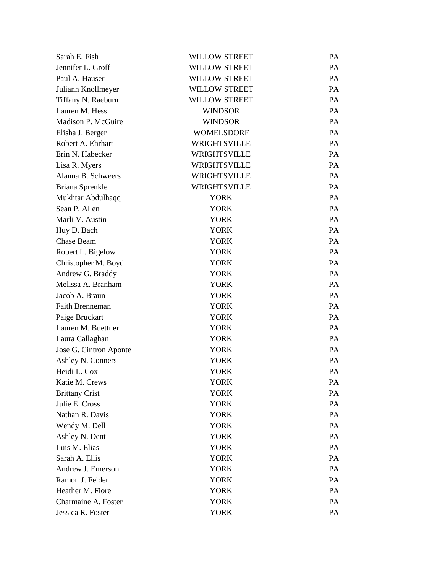| Sarah E. Fish          | <b>WILLOW STREET</b> | PA |
|------------------------|----------------------|----|
| Jennifer L. Groff      | <b>WILLOW STREET</b> | PA |
| Paul A. Hauser         | <b>WILLOW STREET</b> | PA |
| Juliann Knollmeyer     | <b>WILLOW STREET</b> | PA |
| Tiffany N. Raeburn     | <b>WILLOW STREET</b> | PA |
| Lauren M. Hess         | <b>WINDSOR</b>       | PA |
| Madison P. McGuire     | <b>WINDSOR</b>       | PA |
| Elisha J. Berger       | <b>WOMELSDORF</b>    | PA |
| Robert A. Ehrhart      | <b>WRIGHTSVILLE</b>  | PA |
| Erin N. Habecker       | <b>WRIGHTSVILLE</b>  | PA |
| Lisa R. Myers          | <b>WRIGHTSVILLE</b>  | PA |
| Alanna B. Schweers     | WRIGHTSVILLE         | PA |
| Briana Sprenkle        | <b>WRIGHTSVILLE</b>  | PA |
| Mukhtar Abdulhaqq      | <b>YORK</b>          | PA |
| Sean P. Allen          | <b>YORK</b>          | PA |
| Marli V. Austin        | <b>YORK</b>          | PA |
| Huy D. Bach            | <b>YORK</b>          | PA |
| Chase Beam             | <b>YORK</b>          | PA |
| Robert L. Bigelow      | <b>YORK</b>          | PA |
| Christopher M. Boyd    | <b>YORK</b>          | PA |
| Andrew G. Braddy       | <b>YORK</b>          | PA |
| Melissa A. Branham     | <b>YORK</b>          | PA |
| Jacob A. Braun         | <b>YORK</b>          | PA |
| <b>Faith Brenneman</b> | <b>YORK</b>          | PA |
| Paige Bruckart         | <b>YORK</b>          | PA |
| Lauren M. Buettner     | <b>YORK</b>          | PA |
| Laura Callaghan        | <b>YORK</b>          | PA |
| Jose G. Cintron Aponte | <b>YORK</b>          | PA |
| Ashley N. Conners      | <b>YORK</b>          | PA |
| Heidi L. Cox           | <b>YORK</b>          | PA |
| Katie M. Crews         | <b>YORK</b>          | PA |
| <b>Brittany Crist</b>  | <b>YORK</b>          | PA |
| Julie E. Cross         | <b>YORK</b>          | PA |
| Nathan R. Davis        | <b>YORK</b>          | PA |
| Wendy M. Dell          | <b>YORK</b>          | PA |
| Ashley N. Dent         | <b>YORK</b>          | PA |
| Luis M. Elias          | <b>YORK</b>          | PA |
| Sarah A. Ellis         | <b>YORK</b>          | PA |
| Andrew J. Emerson      | <b>YORK</b>          | PA |
| Ramon J. Felder        | <b>YORK</b>          | PA |
| Heather M. Fiore       | <b>YORK</b>          | PA |
| Charmaine A. Foster    | <b>YORK</b>          | PA |
| Jessica R. Foster      | <b>YORK</b>          | PA |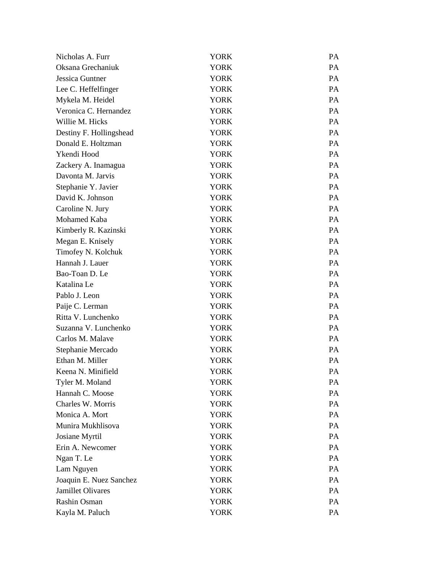| Nicholas A. Furr         | <b>YORK</b> | PA        |
|--------------------------|-------------|-----------|
| Oksana Grechaniuk        | <b>YORK</b> | <b>PA</b> |
| Jessica Guntner          | <b>YORK</b> | PA        |
| Lee C. Heffelfinger      | <b>YORK</b> | PA        |
| Mykela M. Heidel         | <b>YORK</b> | PA        |
| Veronica C. Hernandez    | <b>YORK</b> | <b>PA</b> |
| Willie M. Hicks          | <b>YORK</b> | PA        |
| Destiny F. Hollingshead  | <b>YORK</b> | <b>PA</b> |
| Donald E. Holtzman       | YORK        | PA        |
| Ykendi Hood              | <b>YORK</b> | <b>PA</b> |
| Zackery A. Inamagua      | <b>YORK</b> | PA        |
| Davonta M. Jarvis        | <b>YORK</b> | <b>PA</b> |
| Stephanie Y. Javier      | YORK        | PA        |
| David K. Johnson         | <b>YORK</b> | <b>PA</b> |
| Caroline N. Jury         | <b>YORK</b> | PA        |
| Mohamed Kaba             | <b>YORK</b> | <b>PA</b> |
| Kimberly R. Kazinski     | <b>YORK</b> | PA        |
| Megan E. Knisely         | <b>YORK</b> | PA        |
| Timofey N. Kolchuk       | <b>YORK</b> | PA        |
| Hannah J. Lauer          | <b>YORK</b> | <b>PA</b> |
| Bao-Toan D. Le           | YORK        | PA        |
| Katalina Le              | <b>YORK</b> | <b>PA</b> |
| Pablo J. Leon            | <b>YORK</b> | PA        |
| Paije C. Lerman          | <b>YORK</b> | <b>PA</b> |
| Ritta V. Lunchenko       | <b>YORK</b> | PA        |
| Suzanna V. Lunchenko     | <b>YORK</b> | <b>PA</b> |
| Carlos M. Malave         | <b>YORK</b> | PA        |
| Stephanie Mercado        | <b>YORK</b> | PA        |
| Ethan M. Miller          | <b>YORK</b> | PA        |
| Keena N. Minifield       | YORK        | PA        |
| Tyler M. Moland          | <b>YORK</b> | PA        |
| Hannah C. Moose          | <b>YORK</b> | PA        |
| Charles W. Morris        | <b>YORK</b> | PA        |
| Monica A. Mort           | <b>YORK</b> | PA        |
| Munira Mukhlisova        | <b>YORK</b> | PA        |
| Josiane Myrtil           | <b>YORK</b> | PA        |
| Erin A. Newcomer         | <b>YORK</b> | PA        |
| Ngan T. Le               | <b>YORK</b> | PA        |
| Lam Nguyen               | <b>YORK</b> | PA        |
| Joaquin E. Nuez Sanchez  | <b>YORK</b> | PA        |
| <b>Jamillet Olivares</b> | <b>YORK</b> | PA        |
| Rashin Osman             | <b>YORK</b> | PA        |
| Kayla M. Paluch          | <b>YORK</b> | PA        |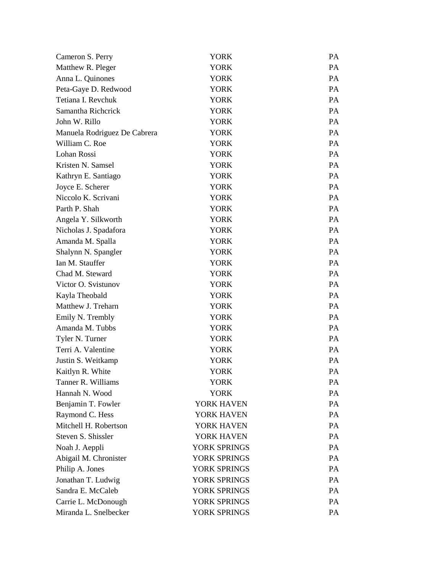| Cameron S. Perry             | <b>YORK</b>  | <b>PA</b> |
|------------------------------|--------------|-----------|
| Matthew R. Pleger            | <b>YORK</b>  | PA        |
| Anna L. Quinones             | <b>YORK</b>  | PA        |
| Peta-Gaye D. Redwood         | <b>YORK</b>  | PA        |
| Tetiana I. Revchuk           | <b>YORK</b>  | <b>PA</b> |
| Samantha Richerick           | <b>YORK</b>  | PA        |
| John W. Rillo                | <b>YORK</b>  | <b>PA</b> |
| Manuela Rodriguez De Cabrera | <b>YORK</b>  | PA        |
| William C. Roe               | <b>YORK</b>  | <b>PA</b> |
| Lohan Rossi                  | <b>YORK</b>  | PA        |
| Kristen N. Samsel            | <b>YORK</b>  | <b>PA</b> |
| Kathryn E. Santiago          | <b>YORK</b>  | PA        |
| Joyce E. Scherer             | <b>YORK</b>  | <b>PA</b> |
| Niccolo K. Scrivani          | <b>YORK</b>  | PA        |
| Parth P. Shah                | <b>YORK</b>  | <b>PA</b> |
| Angela Y. Silkworth          | <b>YORK</b>  | PA        |
| Nicholas J. Spadafora        | <b>YORK</b>  | <b>PA</b> |
| Amanda M. Spalla             | <b>YORK</b>  | PA        |
| Shalynn N. Spangler          | <b>YORK</b>  | <b>PA</b> |
| Ian M. Stauffer              | <b>YORK</b>  | PA        |
| Chad M. Steward              | <b>YORK</b>  | <b>PA</b> |
| Victor O. Svistunov          | <b>YORK</b>  | PA        |
| Kayla Theobald               | <b>YORK</b>  | <b>PA</b> |
| Matthew J. Treharn           | <b>YORK</b>  | PA        |
| Emily N. Trembly             | <b>YORK</b>  | <b>PA</b> |
| Amanda M. Tubbs              | <b>YORK</b>  | PA        |
| Tyler N. Turner              | <b>YORK</b>  | <b>PA</b> |
| Terri A. Valentine           | <b>YORK</b>  | PA        |
| Justin S. Weitkamp           | <b>YORK</b>  | PA        |
| Kaitlyn R. White             | <b>YORK</b>  | PA        |
| Tanner R. Williams           | <b>YORK</b>  | PA        |
| Hannah N. Wood               | <b>YORK</b>  | PA        |
| Benjamin T. Fowler           | YORK HAVEN   | PA        |
| Raymond C. Hess              | YORK HAVEN   | PA        |
| Mitchell H. Robertson        | YORK HAVEN   | PA        |
| Steven S. Shissler           | YORK HAVEN   | PA        |
| Noah J. Aeppli               | YORK SPRINGS | PA        |
| Abigail M. Chronister        | YORK SPRINGS | PA        |
| Philip A. Jones              | YORK SPRINGS | PA        |
| Jonathan T. Ludwig           | YORK SPRINGS | PA        |
| Sandra E. McCaleb            | YORK SPRINGS | PA        |
| Carrie L. McDonough          | YORK SPRINGS | PA        |
| Miranda L. Snelbecker        | YORK SPRINGS | PA        |